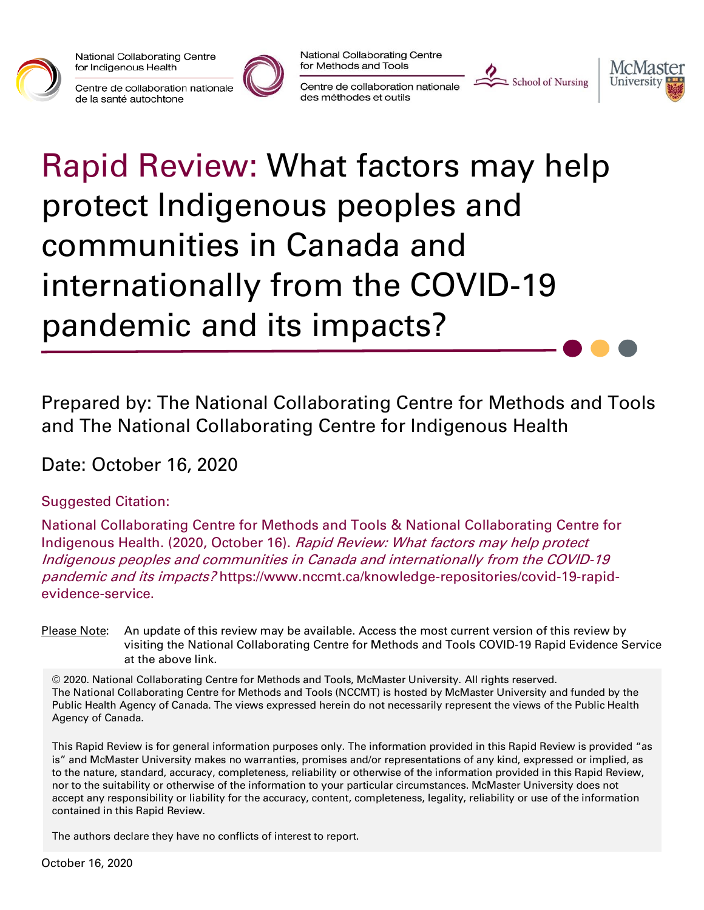

National Collaborating Centre for Indigenous Health

Centre de collaboration nationale de la santé autochtone



National Collaborating Centre for Methods and Tools

Centre de collaboration nationale des méthodes et outils





# Rapid Review: What factors may help protect Indigenous peoples and communities in Canada and internationally from the COVID-19 pandemic and its impacts?

Prepared by: The National Collaborating Centre for Methods and Tools and The National Collaborating Centre for Indigenous Health

Date: October 16, 2020

#### Suggested Citation:

National Collaborating Centre for Methods and Tools & National Collaborating Centre for Indigenous Health. (2020, October 16). Rapid Review: What factors may help protect Indigenous peoples and communities in Canada and internationally from the COVID-19 pandemic and its impacts? https://www.nccmt.ca/knowledge-repositories/covid-19-rapidevidence-service.

Please Note: An update of this review may be available. Access the most current version of this review by visiting the National Collaborating Centre for Methods and Tools COVID-19 Rapid Evidence Service at the above link.

© 2020. National Collaborating Centre for Methods and Tools, McMaster University. All rights reserved. The National Collaborating Centre for Methods and Tools (NCCMT) is hosted by McMaster University and funded by the Public Health Agency of Canada. The views expressed herein do not necessarily represent the views of the Public Health Agency of Canada.

This Rapid Review is for general information purposes only. The information provided in this Rapid Review is provided "as is" and McMaster University makes no warranties, promises and/or representations of any kind, expressed or implied, as to the nature, standard, accuracy, completeness, reliability or otherwise of the information provided in this Rapid Review, nor to the suitability or otherwise of the information to your particular circumstances. McMaster University does not accept any responsibility or liability for the accuracy, content, completeness, legality, reliability or use of the information contained in this Rapid Review.

The authors declare they have no conflicts of interest to report.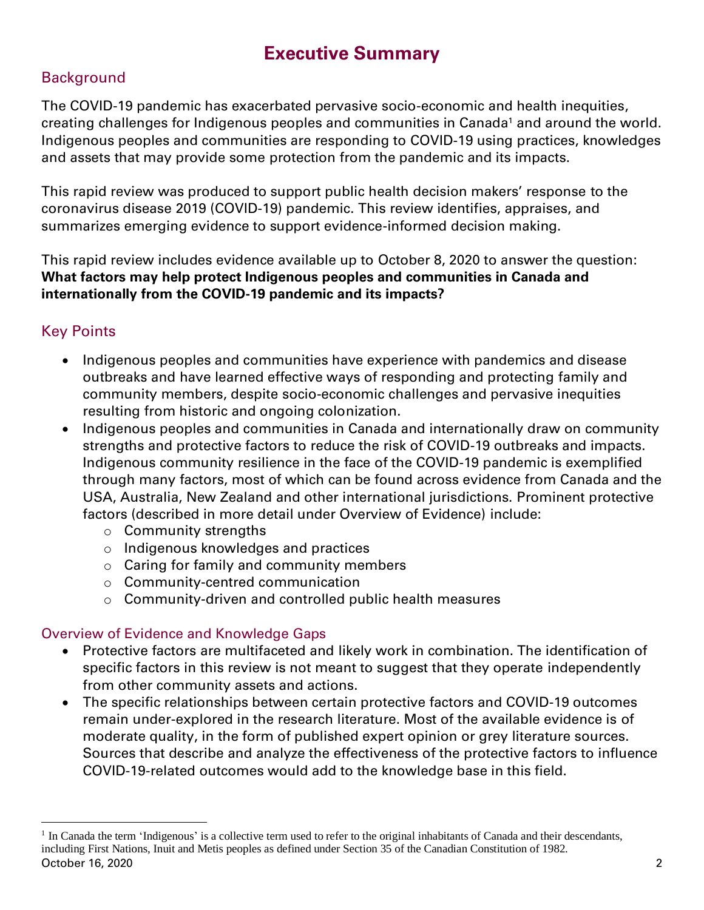## **Executive Summary**

#### **Background**

The COVID-19 pandemic has exacerbated pervasive socio-economic and health inequities, creating challenges for Indigenous peoples and communities in Canada<sup>1</sup> and around the world. Indigenous peoples and communities are responding to COVID-19 using practices, knowledges and assets that may provide some protection from the pandemic and its impacts.

This rapid review was produced to support public health decision makers' response to the coronavirus disease 2019 (COVID-19) pandemic. This review identifies, appraises, and summarizes emerging evidence to support evidence-informed decision making.

This rapid review includes evidence available up to October 8, 2020 to answer the question: **What factors may help protect Indigenous peoples and communities in Canada and internationally from the COVID-19 pandemic and its impacts?**

#### Key Points

- Indigenous peoples and communities have experience with pandemics and disease outbreaks and have learned effective ways of responding and protecting family and community members, despite socio-economic challenges and pervasive inequities resulting from historic and ongoing colonization.
- Indigenous peoples and communities in Canada and internationally draw on community strengths and protective factors to reduce the risk of COVID-19 outbreaks and impacts. Indigenous community resilience in the face of the COVID-19 pandemic is exemplified through many factors, most of which can be found across evidence from Canada and the USA, Australia, New Zealand and other international jurisdictions. Prominent protective factors (described in more detail under Overview of Evidence) include:
	- o Community strengths
	- o Indigenous knowledges and practices
	- o Caring for family and community members
	- o Community-centred communication
	- o Community-driven and controlled public health measures

#### Overview of Evidence and Knowledge Gaps

- Protective factors are multifaceted and likely work in combination. The identification of specific factors in this review is not meant to suggest that they operate independently from other community assets and actions.
- The specific relationships between certain protective factors and COVID-19 outcomes remain under-explored in the research literature. Most of the available evidence is of moderate quality, in the form of published expert opinion or grey literature sources. Sources that describe and analyze the effectiveness of the protective factors to influence COVID-19-related outcomes would add to the knowledge base in this field.

October 16, 2020 2 <sup>1</sup> In Canada the term 'Indigenous' is a collective term used to refer to the original inhabitants of Canada and their descendants, including First Nations, Inuit and Metis peoples as defined under Section 35 of the Canadian Constitution of 1982.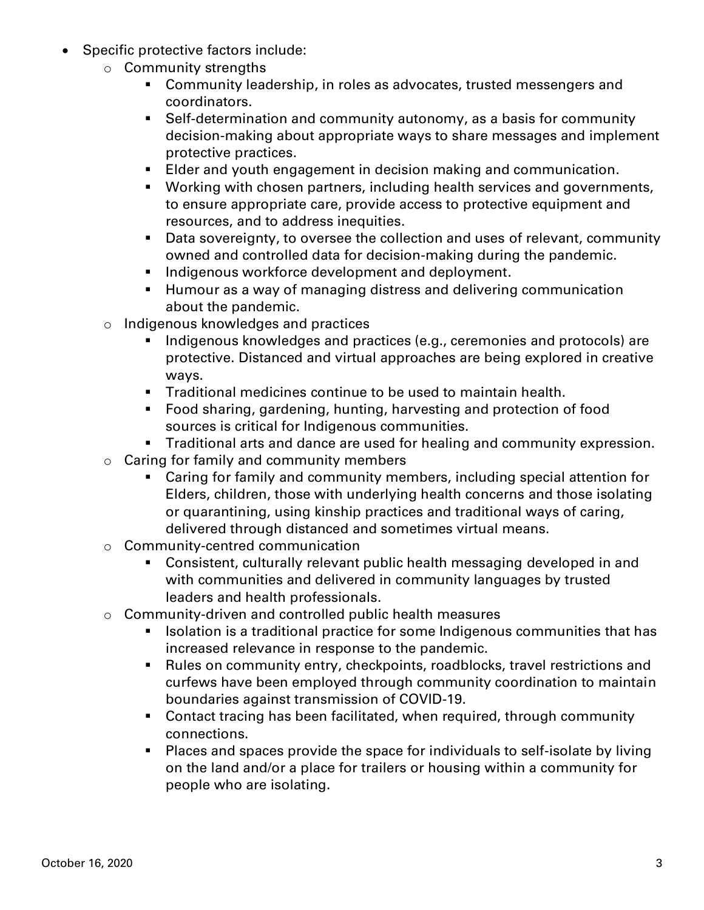- Specific protective factors include:
	- o Community strengths
		- Community leadership, in roles as advocates, trusted messengers and coordinators.
		- Self-determination and community autonomy, as a basis for community decision-making about appropriate ways to share messages and implement protective practices.
		- Elder and youth engagement in decision making and communication.
		- Working with chosen partners, including health services and governments, to ensure appropriate care, provide access to protective equipment and resources, and to address inequities.
		- Data sovereignty, to oversee the collection and uses of relevant, community owned and controlled data for decision-making during the pandemic.
		- **EXEDENCIES IN A** Indigenous workforce development and deployment.
		- Humour as a way of managing distress and delivering communication about the pandemic.
	- o Indigenous knowledges and practices
		- Indigenous knowledges and practices (e.g., ceremonies and protocols) are protective. Distanced and virtual approaches are being explored in creative ways.
		- **Traditional medicines continue to be used to maintain health.**
		- Food sharing, gardening, hunting, harvesting and protection of food sources is critical for Indigenous communities.
		- **EXTE A** Traditional arts and dance are used for healing and community expression.
	- o Caring for family and community members
		- Caring for family and community members, including special attention for Elders, children, those with underlying health concerns and those isolating or quarantining, using kinship practices and traditional ways of caring, delivered through distanced and sometimes virtual means.
	- o Community-centred communication
		- Consistent, culturally relevant public health messaging developed in and with communities and delivered in community languages by trusted leaders and health professionals.
	- o Community-driven and controlled public health measures
		- Isolation is a traditional practice for some Indigenous communities that has increased relevance in response to the pandemic.
		- Rules on community entry, checkpoints, roadblocks, travel restrictions and curfews have been employed through community coordination to maintain boundaries against transmission of COVID-19.
		- Contact tracing has been facilitated, when required, through community connections.
		- Places and spaces provide the space for individuals to self-isolate by living on the land and/or a place for trailers or housing within a community for people who are isolating.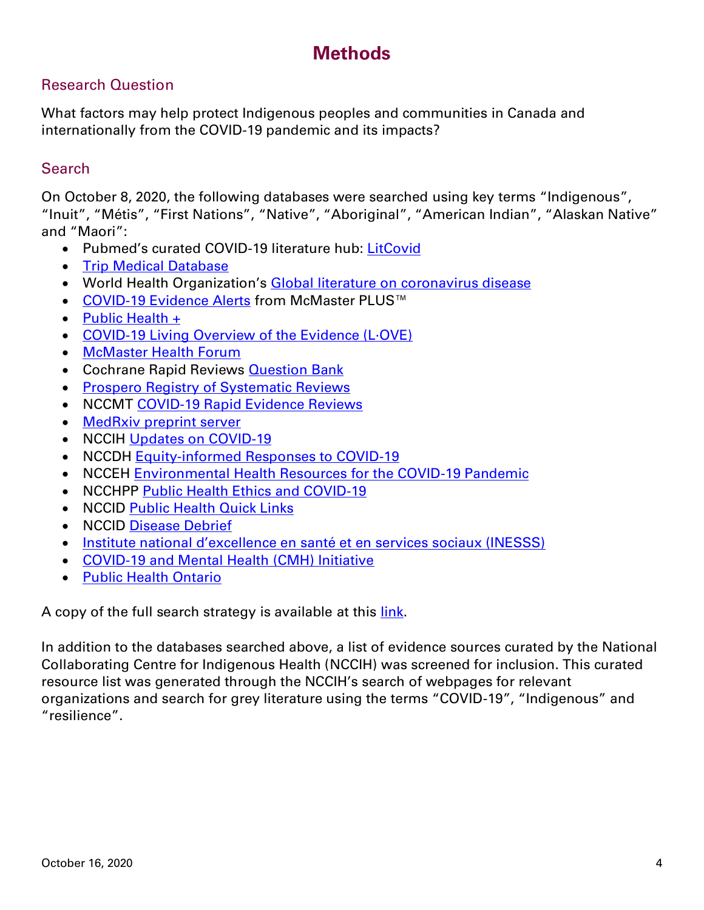## **Methods**

#### Research Question

What factors may help protect Indigenous peoples and communities in Canada and internationally from the COVID-19 pandemic and its impacts?

#### **Search**

On October 8, 2020, the following databases were searched using key terms "Indigenous", "Inuit", "Métis", "First Nations", "Native", "Aboriginal", "American Indian", "Alaskan Native" and "Maori":

- Pubmed's curated COVID-19 literature hub: [LitCovid](https://www.ncbi.nlm.nih.gov/research/coronavirus/)
- [Trip Medical Database](https://www.tripdatabase.com/)
- World Health Organization's [Global literature on coronavirus disease](https://search.bvsalud.org/global-literature-on-novel-coronavirus-2019-ncov/)
- [COVID-19 Evidence Alerts](https://plus.mcmaster.ca/COVID-19/Home) from McMaster PLUS™
- [Public Health +](https://www.nccmt.ca/knowledge-repositories/public-health-plus)
- [COVID-19 Living Overview of the Evidence \(L·OVE\)](https://app.iloveevidence.com/loves/5e6fdb9669c00e4ac072701d)
- [McMaster Health Forum](https://app.iloveevidence.com/loves/5e6fdb9669c00e4ac072701d)
- Cochrane Rapid Reviews **Question Bank**
- [Prospero Registry of Systematic Reviews](https://www.crd.york.ac.uk/prospero/display_record.php?RecordID=193751)
- NCCMT [COVID-19 Rapid Evidence Reviews](https://www.nccmt.ca/knowledge-repositories/covid-19-evidence-reviews)
- [MedRxiv preprint server](https://www.medrxiv.org/)
- NCCIH [Updates on COVID-19](https://www.nccih.ca/485/NCCIH_in_the_News.nccih?id=450)
- NCCDH [Equity-informed Responses to COVID-19](http://nccdh.ca/our-work/covid-19)
- NCCEH [Environmental Health Resources for the COVID-19 Pandemic](https://ncceh.ca/environmental-health-in-canada/health-agency-projects/environmental-health-resources-covid-19)
- NCCHPP [Public Health Ethics and COVID-19](https://www.nccih.ca/485/NCCIH_in_the_News.nccih?id=450)
- NCCID [Public Health Quick Links](https://nccid.ca/coronavirus-quick-links/)
- NCCID [Disease Debrief](https://nccid.ca/2019-novel-coronavirus-outbreak/)
- [Institute national d'excellence en santé et en services sociaux \(INESSS\)](https://www.inesss.qc.ca/covid-19/services-sociaux.html)
- [COVID-19 and Mental Health \(CMH\) Initiative](https://covid19mentalhealthresearch.ca/)
- [Public Health Ontario](https://www.publichealthontario.ca/)

A copy of the full search strategy is available at this [link.](https://www.nccmt.ca/uploads/media/media/0001/02/d4076ea2dcac12a177d1f89175051633104b1832.pdf)

In addition to the databases searched above, a list of evidence sources curated by the National Collaborating Centre for Indigenous Health (NCCIH) was screened for inclusion. This curated resource list was generated through the NCCIH's search of webpages for relevant organizations and search for grey literature using the terms "COVID-19", "Indigenous" and "resilience".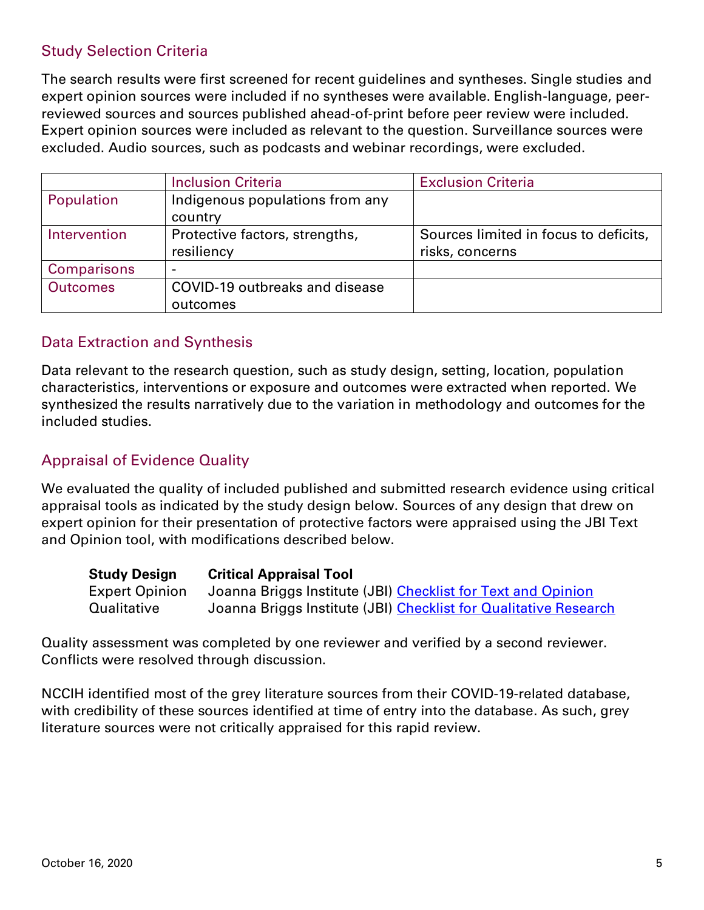#### Study Selection Criteria

The search results were first screened for recent guidelines and syntheses. Single studies and expert opinion sources were included if no syntheses were available. English-language, peerreviewed sources and sources published ahead-of-print before peer review were included. Expert opinion sources were included as relevant to the question. Surveillance sources were excluded. Audio sources, such as podcasts and webinar recordings, were excluded.

|                    | <b>Inclusion Criteria</b>       | <b>Exclusion Criteria</b>             |
|--------------------|---------------------------------|---------------------------------------|
| Population         | Indigenous populations from any |                                       |
|                    | country                         |                                       |
| Intervention       | Protective factors, strengths,  | Sources limited in focus to deficits, |
|                    | resiliency                      | risks, concerns                       |
| <b>Comparisons</b> |                                 |                                       |
| <b>Outcomes</b>    | COVID-19 outbreaks and disease  |                                       |
|                    | outcomes                        |                                       |

#### Data Extraction and Synthesis

Data relevant to the research question, such as study design, setting, location, population characteristics, interventions or exposure and outcomes were extracted when reported. We synthesized the results narratively due to the variation in methodology and outcomes for the included studies.

#### Appraisal of Evidence Quality

We evaluated the quality of included published and submitted research evidence using critical appraisal tools as indicated by the study design below. Sources of any design that drew on expert opinion for their presentation of protective factors were appraised using the JBI Text and Opinion tool, with modifications described below.

| <b>Study Design</b>   | <b>Critical Appraisal Tool</b>                                   |
|-----------------------|------------------------------------------------------------------|
| <b>Expert Opinion</b> | Joanna Briggs Institute (JBI) Checklist for Text and Opinion     |
| Qualitative           | Joanna Briggs Institute (JBI) Checklist for Qualitative Research |

Quality assessment was completed by one reviewer and verified by a second reviewer. Conflicts were resolved through discussion.

NCCIH identified most of the grey literature sources from their COVID-19-related database, with credibility of these sources identified at time of entry into the database. As such, grey literature sources were not critically appraised for this rapid review.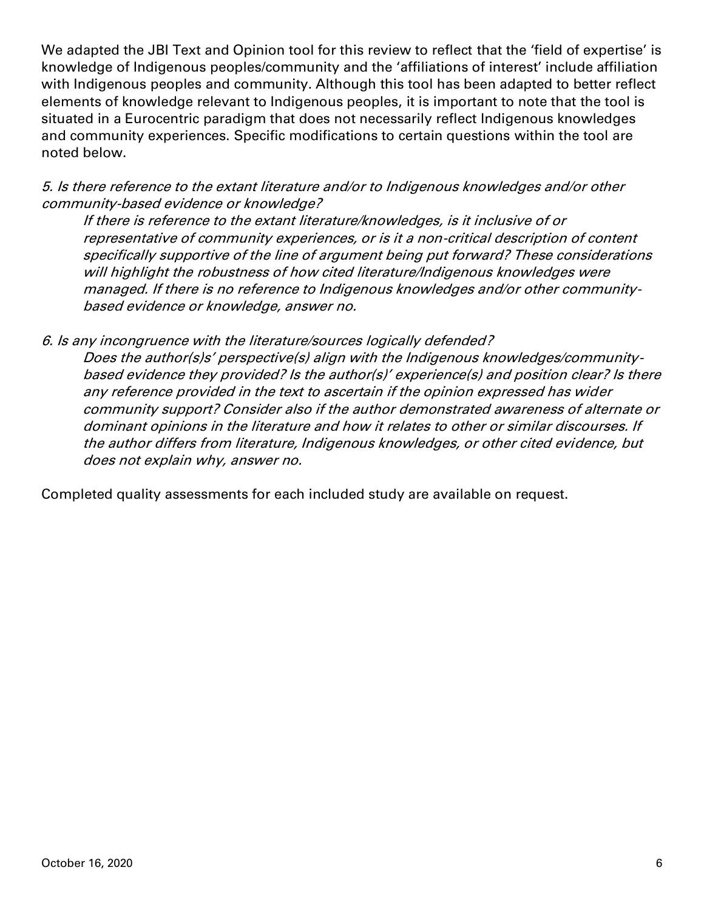We adapted the JBI Text and Opinion tool for this review to reflect that the 'field of expertise' is knowledge of Indigenous peoples/community and the 'affiliations of interest' include affiliation with Indigenous peoples and community. Although this tool has been adapted to better reflect elements of knowledge relevant to Indigenous peoples, it is important to note that the tool is situated in a Eurocentric paradigm that does not necessarily reflect Indigenous knowledges and community experiences. Specific modifications to certain questions within the tool are noted below.

5. Is there reference to the extant literature and/or to Indigenous knowledges and/or other community-based evidence or knowledge?

If there is reference to the extant literature/knowledges, is it inclusive of or representative of community experiences, or is it a non-critical description of content specifically supportive of the line of argument being put forward? These considerations will highlight the robustness of how cited literature/Indigenous knowledges were managed. If there is no reference to Indigenous knowledges and/or other communitybased evidence or knowledge, answer no.

6. Is any incongruence with the literature/sources logically defended?

Does the author(s)s' perspective(s) align with the Indigenous knowledges/communitybased evidence they provided? Is the author(s)' experience(s) and position clear? Is there any reference provided in the text to ascertain if the opinion expressed has wider community support? Consider also if the author demonstrated awareness of alternate or dominant opinions in the literature and how it relates to other or similar discourses. If the author differs from literature, Indigenous knowledges, or other cited evidence, but does not explain why, answer no.

Completed quality assessments for each included study are available on request.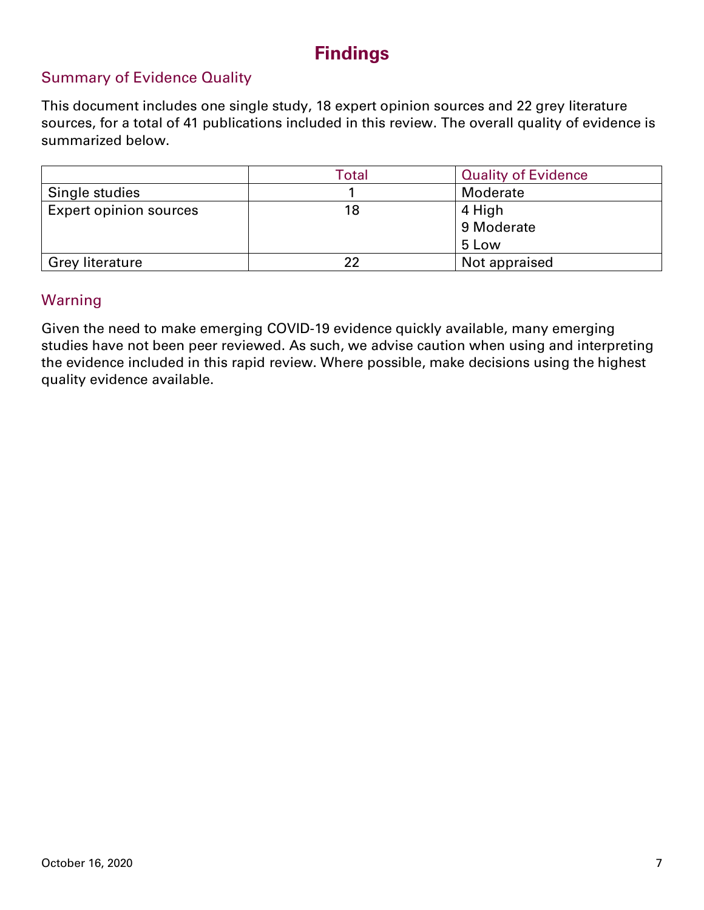## **Findings**

#### Summary of Evidence Quality

This document includes one single study, 18 expert opinion sources and 22 grey literature sources, for a total of 41 publications included in this review. The overall quality of evidence is summarized below.

|                               | Total | <b>Quality of Evidence</b> |
|-------------------------------|-------|----------------------------|
| Single studies                |       | Moderate                   |
| <b>Expert opinion sources</b> | 18    | 4 High                     |
|                               |       | 9 Moderate                 |
|                               |       | 5 Low                      |
| <b>Grey literature</b>        | つつ    | Not appraised              |

#### Warning

Given the need to make emerging COVID-19 evidence quickly available, many emerging studies have not been peer reviewed. As such, we advise caution when using and interpreting the evidence included in this rapid review. Where possible, make decisions using the highest quality evidence available.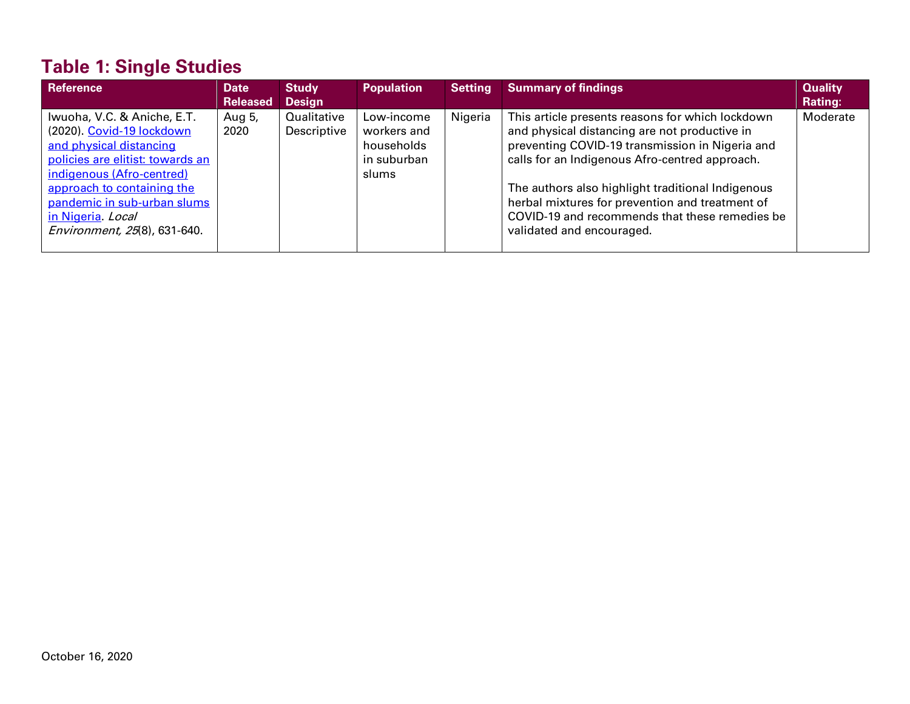# **Table 1: Single Studies**

| Reference                        | Date            | <b>Study</b>  | <b>Population</b> | Setting | <b>Summary of findings</b>                        | <b>Quality</b> |
|----------------------------------|-----------------|---------------|-------------------|---------|---------------------------------------------------|----------------|
|                                  | <b>Released</b> | <b>Design</b> |                   |         |                                                   | Rating:        |
| Iwuoha, V.C. & Aniche, E.T.      | Aug 5,          | Qualitative   | Low-income        | Nigeria | This article presents reasons for which lockdown  | Moderate       |
| (2020). Covid-19 lockdown        | 2020            | Descriptive   | workers and       |         | and physical distancing are not productive in     |                |
| and physical distancing          |                 |               | households        |         | preventing COVID-19 transmission in Nigeria and   |                |
| policies are elitist: towards an |                 |               | in suburban       |         | calls for an Indigenous Afro-centred approach.    |                |
| indigenous (Afro-centred)        |                 |               | slums             |         |                                                   |                |
| approach to containing the       |                 |               |                   |         | The authors also highlight traditional Indigenous |                |
| pandemic in sub-urban slums      |                 |               |                   |         | herbal mixtures for prevention and treatment of   |                |
| in Nigeria Local                 |                 |               |                   |         | COVID-19 and recommends that these remedies be    |                |
| Environment, 25(8), 631-640.     |                 |               |                   |         | validated and encouraged.                         |                |
|                                  |                 |               |                   |         |                                                   |                |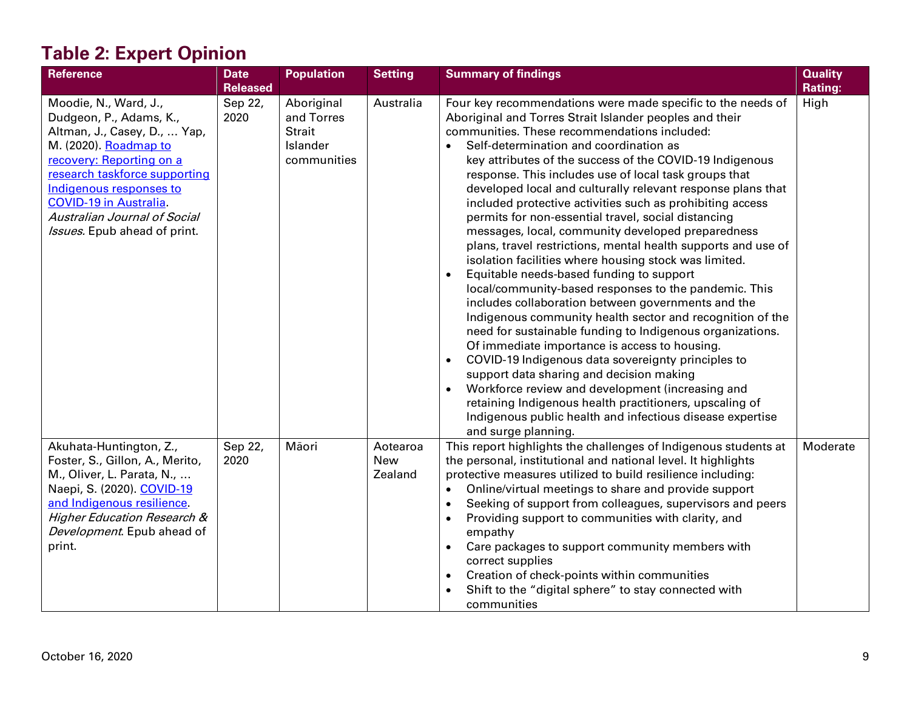# **Table 2: Expert Opinion**

| <b>Reference</b>                                                                                                                                                                                                                                                                                  | <b>Date</b><br><b>Released</b> | <b>Population</b>                                                    | <b>Setting</b>             | <b>Summary of findings</b>                                                                                                                                                                                                                                                                                                                                                                                                                                                                                                                                                                                                                                                                                                                                                                                                                                                                                                                                                                                                                                                                                                                                                                                                                                                                                                                                                                | <b>Quality</b><br><b>Rating:</b> |
|---------------------------------------------------------------------------------------------------------------------------------------------------------------------------------------------------------------------------------------------------------------------------------------------------|--------------------------------|----------------------------------------------------------------------|----------------------------|-------------------------------------------------------------------------------------------------------------------------------------------------------------------------------------------------------------------------------------------------------------------------------------------------------------------------------------------------------------------------------------------------------------------------------------------------------------------------------------------------------------------------------------------------------------------------------------------------------------------------------------------------------------------------------------------------------------------------------------------------------------------------------------------------------------------------------------------------------------------------------------------------------------------------------------------------------------------------------------------------------------------------------------------------------------------------------------------------------------------------------------------------------------------------------------------------------------------------------------------------------------------------------------------------------------------------------------------------------------------------------------------|----------------------------------|
| Moodie, N., Ward, J.,<br>Dudgeon, P., Adams, K.,<br>Altman, J., Casey, D.,  Yap,<br>M. (2020). Roadmap to<br>recovery: Reporting on a<br>research taskforce supporting<br>Indigenous responses to<br><b>COVID-19 in Australia</b><br>Australian Journal of Social<br>Issues. Epub ahead of print. | Sep 22,<br>2020                | Aboriginal<br>and Torres<br><b>Strait</b><br>Islander<br>communities | Australia                  | Four key recommendations were made specific to the needs of<br>Aboriginal and Torres Strait Islander peoples and their<br>communities. These recommendations included:<br>Self-determination and coordination as<br>key attributes of the success of the COVID-19 Indigenous<br>response. This includes use of local task groups that<br>developed local and culturally relevant response plans that<br>included protective activities such as prohibiting access<br>permits for non-essential travel, social distancing<br>messages, local, community developed preparedness<br>plans, travel restrictions, mental health supports and use of<br>isolation facilities where housing stock was limited.<br>Equitable needs-based funding to support<br>$\bullet$<br>local/community-based responses to the pandemic. This<br>includes collaboration between governments and the<br>Indigenous community health sector and recognition of the<br>need for sustainable funding to Indigenous organizations.<br>Of immediate importance is access to housing.<br>COVID-19 Indigenous data sovereignty principles to<br>$\bullet$<br>support data sharing and decision making<br>Workforce review and development (increasing and<br>$\bullet$<br>retaining Indigenous health practitioners, upscaling of<br>Indigenous public health and infectious disease expertise<br>and surge planning. | High                             |
| Akuhata-Huntington, Z.,<br>Foster, S., Gillon, A., Merito,<br>M., Oliver, L. Parata, N.,<br>Naepi, S. (2020). COVID-19<br>and Indigenous resilience.<br><b>Higher Education Research &amp;</b><br>Development. Epub ahead of<br>print.                                                            | Sep 22,<br>2020                | Māori                                                                | Aotearoa<br>New<br>Zealand | This report highlights the challenges of Indigenous students at<br>the personal, institutional and national level. It highlights<br>protective measures utilized to build resilience including:<br>Online/virtual meetings to share and provide support<br>$\bullet$<br>Seeking of support from colleagues, supervisors and peers<br>$\bullet$<br>Providing support to communities with clarity, and<br>empathy<br>Care packages to support community members with<br>correct supplies<br>Creation of check-points within communities<br>$\bullet$<br>Shift to the "digital sphere" to stay connected with<br>communities                                                                                                                                                                                                                                                                                                                                                                                                                                                                                                                                                                                                                                                                                                                                                                 | Moderate                         |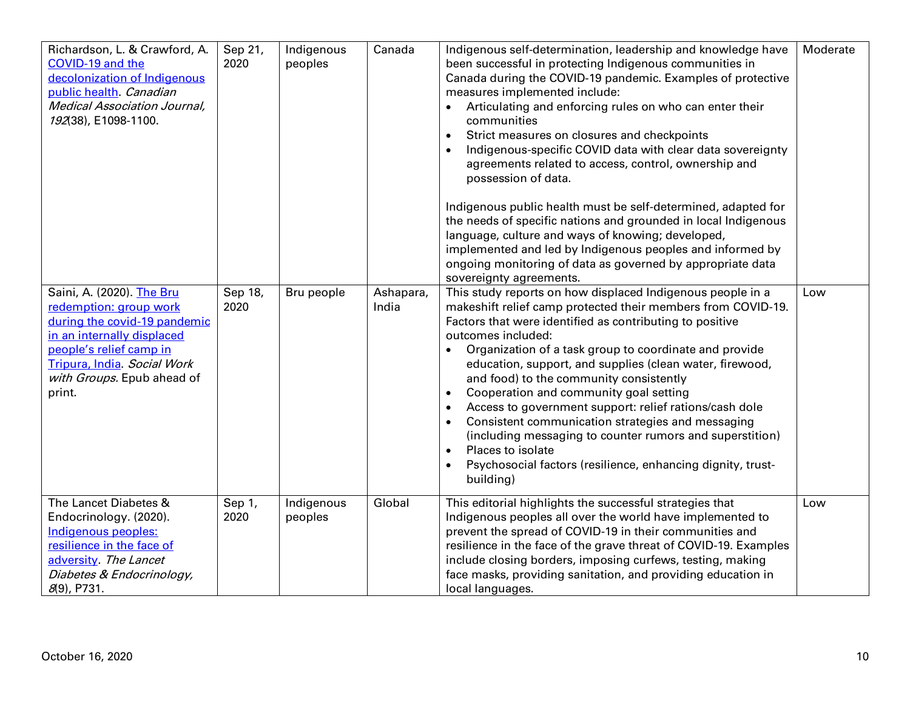| Richardson, L. & Crawford, A.<br>COVID-19 and the<br>decolonization of Indigenous<br>public health Canadian<br><b>Medical Association Journal,</b><br>192(38), E1098-1100.<br>Saini, A. (2020). The Bru<br>redemption: group work<br>during the covid-19 pandemic<br>in an internally displaced<br>people's relief camp in<br>Tripura, India. Social Work<br>with Groups. Epub ahead of<br>print. | Sep 21,<br>2020<br>Sep 18,<br>2020 | Indigenous<br>peoples<br>Bru people | Canada<br>Ashapara,<br>India | Indigenous self-determination, leadership and knowledge have<br>been successful in protecting Indigenous communities in<br>Canada during the COVID-19 pandemic. Examples of protective<br>measures implemented include:<br>Articulating and enforcing rules on who can enter their<br>communities<br>Strict measures on closures and checkpoints<br>$\bullet$<br>Indigenous-specific COVID data with clear data sovereignty<br>agreements related to access, control, ownership and<br>possession of data.<br>Indigenous public health must be self-determined, adapted for<br>the needs of specific nations and grounded in local Indigenous<br>language, culture and ways of knowing; developed,<br>implemented and led by Indigenous peoples and informed by<br>ongoing monitoring of data as governed by appropriate data<br>sovereignty agreements.<br>This study reports on how displaced Indigenous people in a<br>makeshift relief camp protected their members from COVID-19.<br>Factors that were identified as contributing to positive<br>outcomes included:<br>Organization of a task group to coordinate and provide<br>education, support, and supplies (clean water, firewood,<br>and food) to the community consistently<br>Cooperation and community goal setting<br>$\bullet$<br>Access to government support: relief rations/cash dole<br>$\bullet$ | Moderate<br>Low |
|---------------------------------------------------------------------------------------------------------------------------------------------------------------------------------------------------------------------------------------------------------------------------------------------------------------------------------------------------------------------------------------------------|------------------------------------|-------------------------------------|------------------------------|-------------------------------------------------------------------------------------------------------------------------------------------------------------------------------------------------------------------------------------------------------------------------------------------------------------------------------------------------------------------------------------------------------------------------------------------------------------------------------------------------------------------------------------------------------------------------------------------------------------------------------------------------------------------------------------------------------------------------------------------------------------------------------------------------------------------------------------------------------------------------------------------------------------------------------------------------------------------------------------------------------------------------------------------------------------------------------------------------------------------------------------------------------------------------------------------------------------------------------------------------------------------------------------------------------------------------------------------------------------------------|-----------------|
|                                                                                                                                                                                                                                                                                                                                                                                                   |                                    |                                     |                              | Consistent communication strategies and messaging<br>$\bullet$<br>(including messaging to counter rumors and superstition)<br>Places to isolate<br>$\bullet$<br>Psychosocial factors (resilience, enhancing dignity, trust-<br>$\bullet$<br>building)                                                                                                                                                                                                                                                                                                                                                                                                                                                                                                                                                                                                                                                                                                                                                                                                                                                                                                                                                                                                                                                                                                                   |                 |
| The Lancet Diabetes &<br>Endocrinology. (2020).<br>Indigenous peoples:<br>resilience in the face of<br>adversity. The Lancet<br>Diabetes & Endocrinology,<br>$8(9)$ , P731.                                                                                                                                                                                                                       | Sep 1,<br>2020                     | Indigenous<br>peoples               | Global                       | This editorial highlights the successful strategies that<br>Indigenous peoples all over the world have implemented to<br>prevent the spread of COVID-19 in their communities and<br>resilience in the face of the grave threat of COVID-19. Examples<br>include closing borders, imposing curfews, testing, making<br>face masks, providing sanitation, and providing education in<br>local languages.                                                                                                                                                                                                                                                                                                                                                                                                                                                                                                                                                                                                                                                                                                                                                                                                                                                                                                                                                                  | Low             |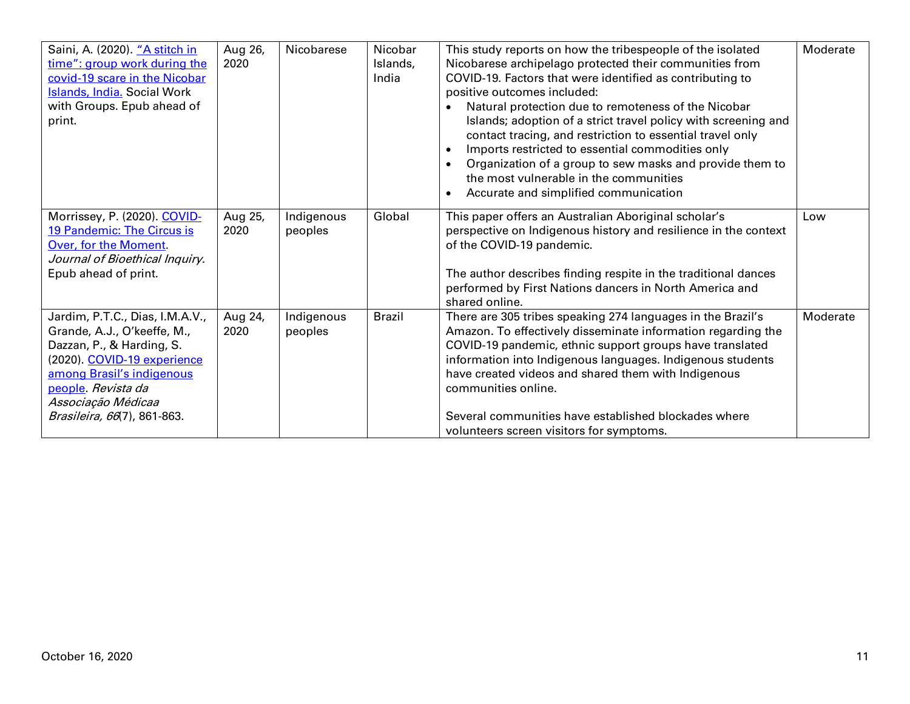| Saini, A. (2020). "A stitch in     | Aug 26, | Nicobarese | Nicobar       | This study reports on how the tribespeople of the isolated      | Moderate |
|------------------------------------|---------|------------|---------------|-----------------------------------------------------------------|----------|
| time": group work during the       | 2020    |            | Islands,      | Nicobarese archipelago protected their communities from         |          |
| covid-19 scare in the Nicobar      |         |            | India         | COVID-19. Factors that were identified as contributing to       |          |
| <b>Islands, India. Social Work</b> |         |            |               | positive outcomes included:                                     |          |
| with Groups. Epub ahead of         |         |            |               | Natural protection due to remoteness of the Nicobar             |          |
| print.                             |         |            |               | Islands; adoption of a strict travel policy with screening and  |          |
|                                    |         |            |               | contact tracing, and restriction to essential travel only       |          |
|                                    |         |            |               | Imports restricted to essential commodities only                |          |
|                                    |         |            |               | Organization of a group to sew masks and provide them to        |          |
|                                    |         |            |               |                                                                 |          |
|                                    |         |            |               | the most vulnerable in the communities                          |          |
|                                    |         |            |               | Accurate and simplified communication                           |          |
| Morrissey, P. (2020). COVID-       | Aug 25, | Indigenous | Global        | This paper offers an Australian Aboriginal scholar's            | Low      |
| 19 Pandemic: The Circus is         | 2020    | peoples    |               | perspective on Indigenous history and resilience in the context |          |
| Over, for the Moment.              |         |            |               | of the COVID-19 pandemic.                                       |          |
| Journal of Bioethical Inquiry.     |         |            |               |                                                                 |          |
|                                    |         |            |               |                                                                 |          |
| Epub ahead of print.               |         |            |               | The author describes finding respite in the traditional dances  |          |
|                                    |         |            |               | performed by First Nations dancers in North America and         |          |
|                                    |         |            |               | shared online.                                                  |          |
| Jardim, P.T.C., Dias, I.M.A.V.,    | Aug 24, | Indigenous | <b>Brazil</b> | There are 305 tribes speaking 274 languages in the Brazil's     | Moderate |
| Grande, A.J., O'keeffe, M.,        | 2020    | peoples    |               | Amazon. To effectively disseminate information regarding the    |          |
| Dazzan, P., & Harding, S.          |         |            |               | COVID-19 pandemic, ethnic support groups have translated        |          |
| (2020). COVID-19 experience        |         |            |               | information into Indigenous languages. Indigenous students      |          |
| among Brasil's indigenous          |         |            |               | have created videos and shared them with Indigenous             |          |
| people. Revista da                 |         |            |               | communities online.                                             |          |
| Associação Médicaa                 |         |            |               |                                                                 |          |
|                                    |         |            |               | Several communities have established blockades where            |          |
| Brasileira, 66(7), 861-863.        |         |            |               |                                                                 |          |
|                                    |         |            |               | volunteers screen visitors for symptoms.                        |          |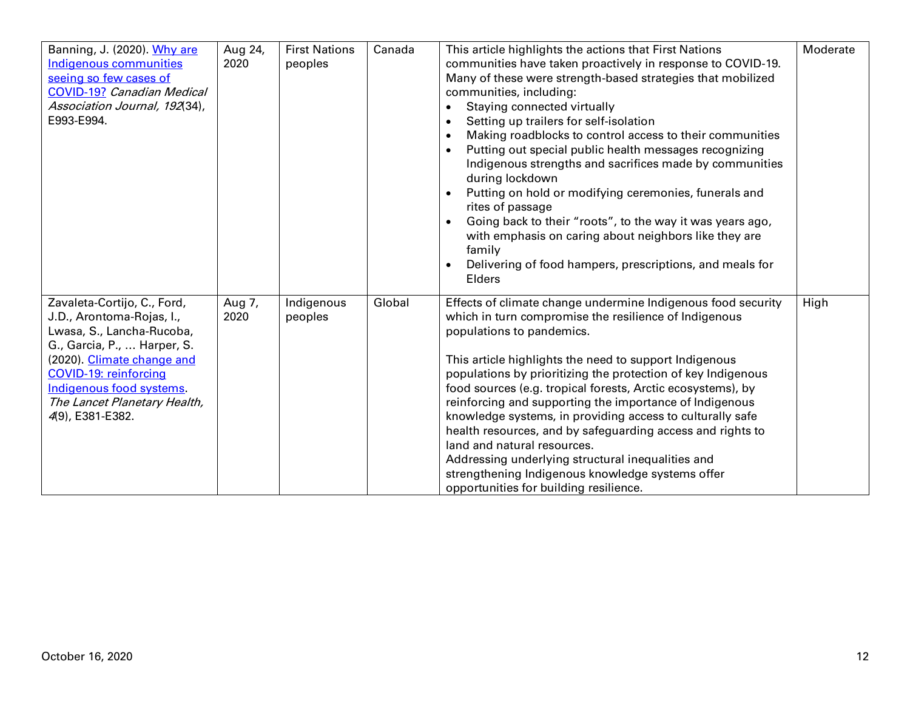| Banning, J. (2020). Why are<br>Indigenous communities<br>seeing so few cases of<br><b>COVID-19? Canadian Medical</b><br>Association Journal, 192(34),<br>E993-E994.                                                                                                | Aug 24,<br>2020 | <b>First Nations</b><br>peoples | Canada | This article highlights the actions that First Nations<br>communities have taken proactively in response to COVID-19.<br>Many of these were strength-based strategies that mobilized<br>communities, including:<br>Staying connected virtually<br>Setting up trailers for self-isolation<br>Making roadblocks to control access to their communities<br>Putting out special public health messages recognizing<br>Indigenous strengths and sacrifices made by communities<br>during lockdown<br>Putting on hold or modifying ceremonies, funerals and<br>$\bullet$<br>rites of passage<br>Going back to their "roots", to the way it was years ago,<br>with emphasis on caring about neighbors like they are<br>family<br>Delivering of food hampers, prescriptions, and meals for<br>Elders | Moderate |
|--------------------------------------------------------------------------------------------------------------------------------------------------------------------------------------------------------------------------------------------------------------------|-----------------|---------------------------------|--------|----------------------------------------------------------------------------------------------------------------------------------------------------------------------------------------------------------------------------------------------------------------------------------------------------------------------------------------------------------------------------------------------------------------------------------------------------------------------------------------------------------------------------------------------------------------------------------------------------------------------------------------------------------------------------------------------------------------------------------------------------------------------------------------------|----------|
| Zavaleta-Cortijo, C., Ford,<br>J.D., Arontoma-Rojas, I.,<br>Lwasa, S., Lancha-Rucoba,<br>G., Garcia, P.,  Harper, S.<br>(2020). Climate change and<br><b>COVID-19: reinforcing</b><br>Indigenous food systems.<br>The Lancet Planetary Health,<br>4(9), E381-E382. | Aug 7,<br>2020  | Indigenous<br>peoples           | Global | Effects of climate change undermine Indigenous food security<br>which in turn compromise the resilience of Indigenous<br>populations to pandemics.<br>This article highlights the need to support Indigenous<br>populations by prioritizing the protection of key Indigenous<br>food sources (e.g. tropical forests, Arctic ecosystems), by<br>reinforcing and supporting the importance of Indigenous<br>knowledge systems, in providing access to culturally safe<br>health resources, and by safeguarding access and rights to<br>land and natural resources.<br>Addressing underlying structural inequalities and<br>strengthening Indigenous knowledge systems offer<br>opportunities for building resilience.                                                                          | High     |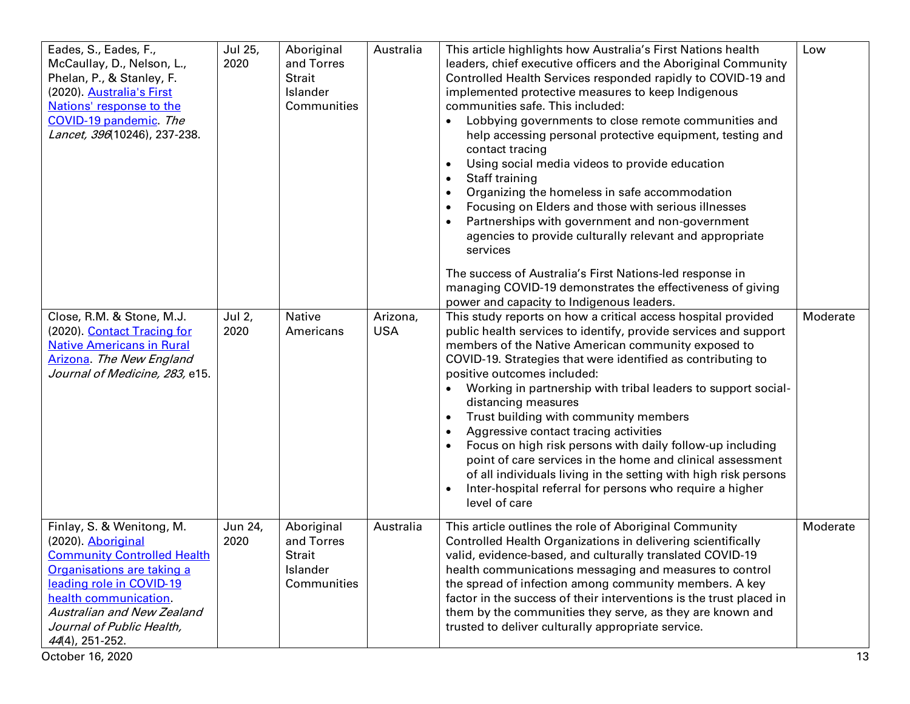| Eades, S., Eades, F.,<br>McCaullay, D., Nelson, L.,<br>Phelan, P., & Stanley, F.<br>(2020). Australia's First<br>Nations' response to the<br>COVID-19 pandemic. The<br>Lancet, 396(10246), 237-238.                                                                               | Jul 25,<br>2020 | Aboriginal<br>and Torres<br><b>Strait</b><br>Islander<br>Communities | Australia              | This article highlights how Australia's First Nations health<br>leaders, chief executive officers and the Aboriginal Community<br>Controlled Health Services responded rapidly to COVID-19 and<br>implemented protective measures to keep Indigenous<br>communities safe. This included:<br>Lobbying governments to close remote communities and<br>help accessing personal protective equipment, testing and<br>contact tracing<br>Using social media videos to provide education<br>$\bullet$<br>Staff training<br>$\bullet$<br>Organizing the homeless in safe accommodation<br>$\bullet$<br>Focusing on Elders and those with serious illnesses<br>$\bullet$<br>Partnerships with government and non-government<br>agencies to provide culturally relevant and appropriate<br>services<br>The success of Australia's First Nations-led response in  | Low            |
|-----------------------------------------------------------------------------------------------------------------------------------------------------------------------------------------------------------------------------------------------------------------------------------|-----------------|----------------------------------------------------------------------|------------------------|---------------------------------------------------------------------------------------------------------------------------------------------------------------------------------------------------------------------------------------------------------------------------------------------------------------------------------------------------------------------------------------------------------------------------------------------------------------------------------------------------------------------------------------------------------------------------------------------------------------------------------------------------------------------------------------------------------------------------------------------------------------------------------------------------------------------------------------------------------|----------------|
| Close, R.M. & Stone, M.J.<br>(2020). Contact Tracing for<br><b>Native Americans in Rural</b><br>Arizona. The New England<br>Journal of Medicine, 283, e15.                                                                                                                        | Jul 2,<br>2020  | Native<br>Americans                                                  | Arizona,<br><b>USA</b> | managing COVID-19 demonstrates the effectiveness of giving<br>power and capacity to Indigenous leaders.<br>This study reports on how a critical access hospital provided<br>public health services to identify, provide services and support<br>members of the Native American community exposed to<br>COVID-19. Strategies that were identified as contributing to<br>positive outcomes included:<br>Working in partnership with tribal leaders to support social-<br>distancing measures<br>Trust building with community members<br>Aggressive contact tracing activities<br>Focus on high risk persons with daily follow-up including<br>point of care services in the home and clinical assessment<br>of all individuals living in the setting with high risk persons<br>Inter-hospital referral for persons who require a higher<br>level of care | Moderate       |
| Finlay, S. & Wenitong, M.<br>(2020). Aboriginal<br><b>Community Controlled Health</b><br>Organisations are taking a<br>leading role in COVID-19<br>health communication.<br><b>Australian and New Zealand</b><br>Journal of Public Health,<br>44(4), 251-252.<br>October 16, 2020 | Jun 24,<br>2020 | Aboriginal<br>and Torres<br>Strait<br>Islander<br>Communities        | Australia              | This article outlines the role of Aboriginal Community<br>Controlled Health Organizations in delivering scientifically<br>valid, evidence-based, and culturally translated COVID-19<br>health communications messaging and measures to control<br>the spread of infection among community members. A key<br>factor in the success of their interventions is the trust placed in<br>them by the communities they serve, as they are known and<br>trusted to deliver culturally appropriate service.                                                                                                                                                                                                                                                                                                                                                      | Moderate<br>13 |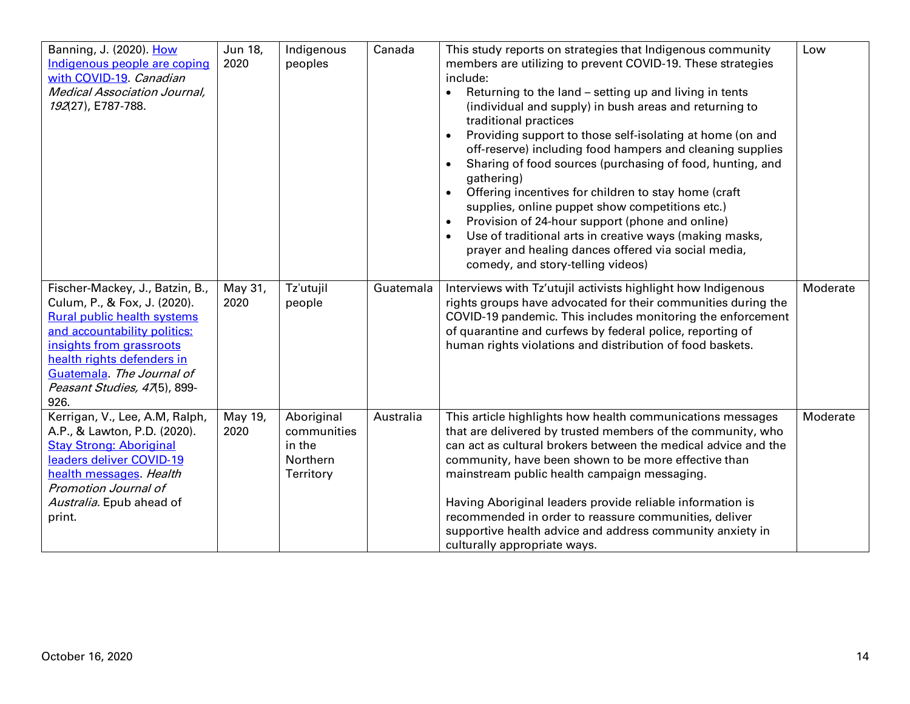| Banning, J. (2020). How<br>Indigenous people are coping<br>with COVID-19. Canadian<br><b>Medical Association Journal,</b><br>192(27), E787-788.                                                                                                                      | Jun 18,<br>2020 | Indigenous<br>peoples                                               | Canada    | This study reports on strategies that Indigenous community<br>members are utilizing to prevent COVID-19. These strategies<br>include:<br>Returning to the land - setting up and living in tents<br>$\bullet$<br>(individual and supply) in bush areas and returning to<br>traditional practices<br>Providing support to those self-isolating at home (on and<br>off-reserve) including food hampers and cleaning supplies<br>Sharing of food sources (purchasing of food, hunting, and<br>$\bullet$<br>gathering)<br>Offering incentives for children to stay home (craft<br>$\bullet$<br>supplies, online puppet show competitions etc.)<br>Provision of 24-hour support (phone and online)<br>Use of traditional arts in creative ways (making masks,<br>$\bullet$<br>prayer and healing dances offered via social media,<br>comedy, and story-telling videos) | Low      |
|----------------------------------------------------------------------------------------------------------------------------------------------------------------------------------------------------------------------------------------------------------------------|-----------------|---------------------------------------------------------------------|-----------|------------------------------------------------------------------------------------------------------------------------------------------------------------------------------------------------------------------------------------------------------------------------------------------------------------------------------------------------------------------------------------------------------------------------------------------------------------------------------------------------------------------------------------------------------------------------------------------------------------------------------------------------------------------------------------------------------------------------------------------------------------------------------------------------------------------------------------------------------------------|----------|
| Fischer-Mackey, J., Batzin, B.,<br>Culum, P., & Fox, J. (2020).<br><b>Rural public health systems</b><br>and accountability politics:<br>insights from grassroots<br>health rights defenders in<br>Guatemala. The Journal of<br>Peasant Studies, 47(5), 899-<br>926. | May 31,<br>2020 | Tz'utujil<br>people                                                 | Guatemala | Interviews with Tz'utujil activists highlight how Indigenous<br>rights groups have advocated for their communities during the<br>COVID-19 pandemic. This includes monitoring the enforcement<br>of quarantine and curfews by federal police, reporting of<br>human rights violations and distribution of food baskets.                                                                                                                                                                                                                                                                                                                                                                                                                                                                                                                                           | Moderate |
| Kerrigan, V., Lee, A.M, Ralph,<br>A.P., & Lawton, P.D. (2020).<br><b>Stay Strong: Aboriginal</b><br>leaders deliver COVID-19<br>health messages. Health<br>Promotion Journal of<br>Australia. Epub ahead of<br>print.                                                | May 19,<br>2020 | Aboriginal<br>communities<br>in the<br><b>Northern</b><br>Territory | Australia | This article highlights how health communications messages<br>that are delivered by trusted members of the community, who<br>can act as cultural brokers between the medical advice and the<br>community, have been shown to be more effective than<br>mainstream public health campaign messaging.<br>Having Aboriginal leaders provide reliable information is<br>recommended in order to reassure communities, deliver<br>supportive health advice and address community anxiety in<br>culturally appropriate ways.                                                                                                                                                                                                                                                                                                                                           | Moderate |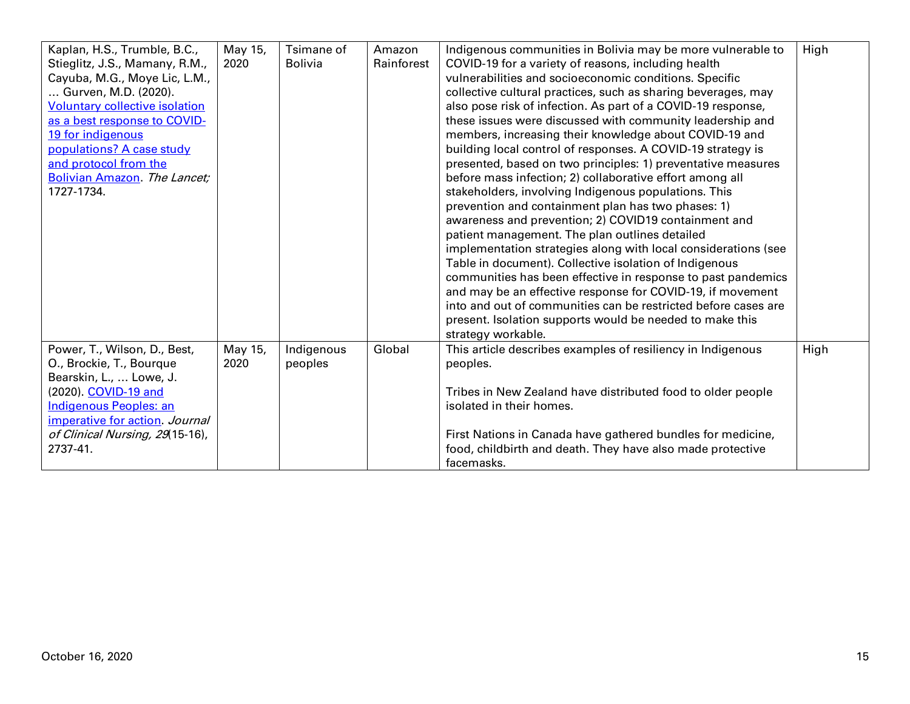| Kaplan, H.S., Trumble, B.C.,          | May 15, | Tsimane of     | Amazon     | Indigenous communities in Bolivia may be more vulnerable to    | High |
|---------------------------------------|---------|----------------|------------|----------------------------------------------------------------|------|
| Stieglitz, J.S., Mamany, R.M.,        | 2020    | <b>Bolivia</b> | Rainforest | COVID-19 for a variety of reasons, including health            |      |
| Cayuba, M.G., Moye Lic, L.M.,         |         |                |            | vulnerabilities and socioeconomic conditions. Specific         |      |
| Gurven, M.D. (2020).                  |         |                |            | collective cultural practices, such as sharing beverages, may  |      |
| <b>Voluntary collective isolation</b> |         |                |            | also pose risk of infection. As part of a COVID-19 response,   |      |
| as a best response to COVID-          |         |                |            | these issues were discussed with community leadership and      |      |
| 19 for indigenous                     |         |                |            | members, increasing their knowledge about COVID-19 and         |      |
| populations? A case study             |         |                |            | building local control of responses. A COVID-19 strategy is    |      |
| and protocol from the                 |         |                |            | presented, based on two principles: 1) preventative measures   |      |
| Bolivian Amazon. The Lancet;          |         |                |            | before mass infection; 2) collaborative effort among all       |      |
| 1727-1734.                            |         |                |            | stakeholders, involving Indigenous populations. This           |      |
|                                       |         |                |            | prevention and containment plan has two phases: 1)             |      |
|                                       |         |                |            | awareness and prevention; 2) COVID19 containment and           |      |
|                                       |         |                |            | patient management. The plan outlines detailed                 |      |
|                                       |         |                |            | implementation strategies along with local considerations (see |      |
|                                       |         |                |            | Table in document). Collective isolation of Indigenous         |      |
|                                       |         |                |            | communities has been effective in response to past pandemics   |      |
|                                       |         |                |            | and may be an effective response for COVID-19, if movement     |      |
|                                       |         |                |            | into and out of communities can be restricted before cases are |      |
|                                       |         |                |            | present. Isolation supports would be needed to make this       |      |
|                                       |         |                |            | strategy workable.                                             |      |
| Power, T., Wilson, D., Best,          | May 15, | Indigenous     | Global     | This article describes examples of resiliency in Indigenous    | High |
| O., Brockie, T., Bourque              | 2020    | peoples        |            | peoples.                                                       |      |
| Bearskin, L.,  Lowe, J.               |         |                |            |                                                                |      |
| (2020). COVID-19 and                  |         |                |            | Tribes in New Zealand have distributed food to older people    |      |
| Indigenous Peoples: an                |         |                |            | isolated in their homes.                                       |      |
| imperative for action. Journal        |         |                |            |                                                                |      |
| of Clinical Nursing, 29(15-16),       |         |                |            | First Nations in Canada have gathered bundles for medicine,    |      |
| 2737-41.                              |         |                |            | food, childbirth and death. They have also made protective     |      |
|                                       |         |                |            | facemasks.                                                     |      |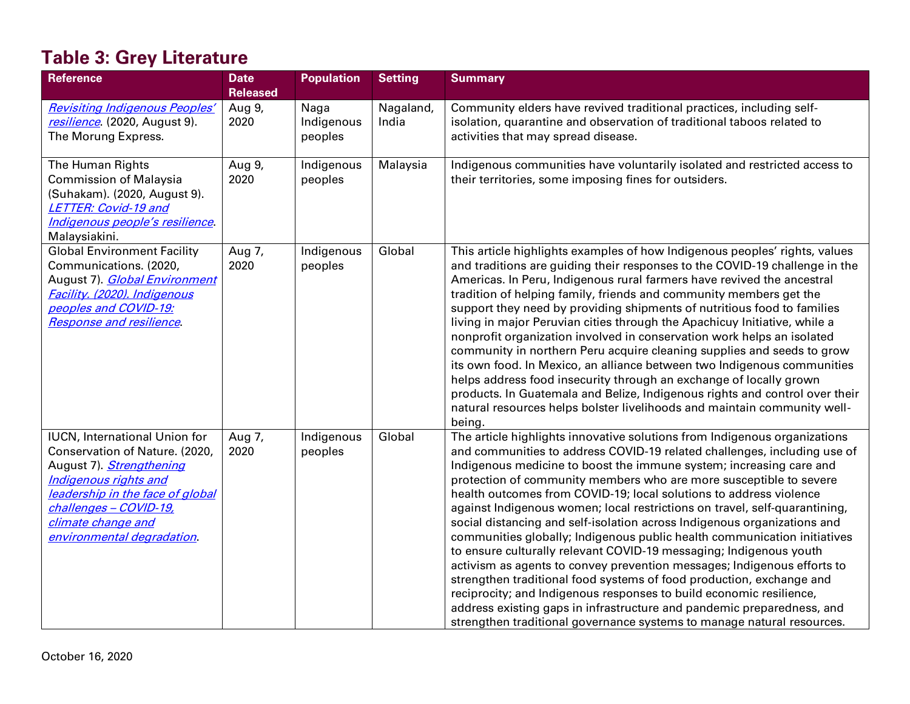# **Table 3: Grey Literature**

| <b>Reference</b>                                                                                                                                                                                                                             | <b>Date</b><br><b>Released</b> | <b>Population</b>             | <b>Setting</b>     | <b>Summary</b>                                                                                                                                                                                                                                                                                                                                                                                                                                                                                                                                                                                                                                                                                                                                                                                                                                                                                                                                                                                                                                                     |
|----------------------------------------------------------------------------------------------------------------------------------------------------------------------------------------------------------------------------------------------|--------------------------------|-------------------------------|--------------------|--------------------------------------------------------------------------------------------------------------------------------------------------------------------------------------------------------------------------------------------------------------------------------------------------------------------------------------------------------------------------------------------------------------------------------------------------------------------------------------------------------------------------------------------------------------------------------------------------------------------------------------------------------------------------------------------------------------------------------------------------------------------------------------------------------------------------------------------------------------------------------------------------------------------------------------------------------------------------------------------------------------------------------------------------------------------|
| <b>Revisiting Indigenous Peoples'</b><br>resilience. (2020, August 9).<br>The Morung Express.                                                                                                                                                | Aug 9,<br>2020                 | Naga<br>Indigenous<br>peoples | Nagaland,<br>India | Community elders have revived traditional practices, including self-<br>isolation, quarantine and observation of traditional taboos related to<br>activities that may spread disease.                                                                                                                                                                                                                                                                                                                                                                                                                                                                                                                                                                                                                                                                                                                                                                                                                                                                              |
| The Human Rights<br><b>Commission of Malaysia</b><br>(Suhakam). (2020, August 9).<br><b>LETTER: Covid-19 and</b><br>Indigenous people's resilience.<br>Malaysiakini.                                                                         | Aug 9,<br>2020                 | Indigenous<br>peoples         | Malaysia           | Indigenous communities have voluntarily isolated and restricted access to<br>their territories, some imposing fines for outsiders.                                                                                                                                                                                                                                                                                                                                                                                                                                                                                                                                                                                                                                                                                                                                                                                                                                                                                                                                 |
| <b>Global Environment Facility</b><br>Communications. (2020,<br>August 7). Global Environment<br>Facility. (2020). Indigenous<br>peoples and COVID-19:<br><b>Response and resilience</b>                                                     | Aug 7,<br>2020                 | Indigenous<br>peoples         | Global             | This article highlights examples of how Indigenous peoples' rights, values<br>and traditions are guiding their responses to the COVID-19 challenge in the<br>Americas. In Peru, Indigenous rural farmers have revived the ancestral<br>tradition of helping family, friends and community members get the<br>support they need by providing shipments of nutritious food to families<br>living in major Peruvian cities through the Apachicuy Initiative, while a<br>nonprofit organization involved in conservation work helps an isolated<br>community in northern Peru acquire cleaning supplies and seeds to grow<br>its own food. In Mexico, an alliance between two Indigenous communities<br>helps address food insecurity through an exchange of locally grown<br>products. In Guatemala and Belize, Indigenous rights and control over their<br>natural resources helps bolster livelihoods and maintain community well-<br>being.                                                                                                                        |
| <b>IUCN, International Union for</b><br>Conservation of Nature. (2020,<br>August 7). Strengthening<br>Indigenous rights and<br>leadership in the face of global<br>challenges - COVID-19,<br>climate change and<br>environmental degradation | Aug 7,<br>2020                 | Indigenous<br>peoples         | Global             | The article highlights innovative solutions from Indigenous organizations<br>and communities to address COVID-19 related challenges, including use of<br>Indigenous medicine to boost the immune system; increasing care and<br>protection of community members who are more susceptible to severe<br>health outcomes from COVID-19; local solutions to address violence<br>against Indigenous women; local restrictions on travel, self-quarantining,<br>social distancing and self-isolation across Indigenous organizations and<br>communities globally; Indigenous public health communication initiatives<br>to ensure culturally relevant COVID-19 messaging; Indigenous youth<br>activism as agents to convey prevention messages; Indigenous efforts to<br>strengthen traditional food systems of food production, exchange and<br>reciprocity; and Indigenous responses to build economic resilience,<br>address existing gaps in infrastructure and pandemic preparedness, and<br>strengthen traditional governance systems to manage natural resources. |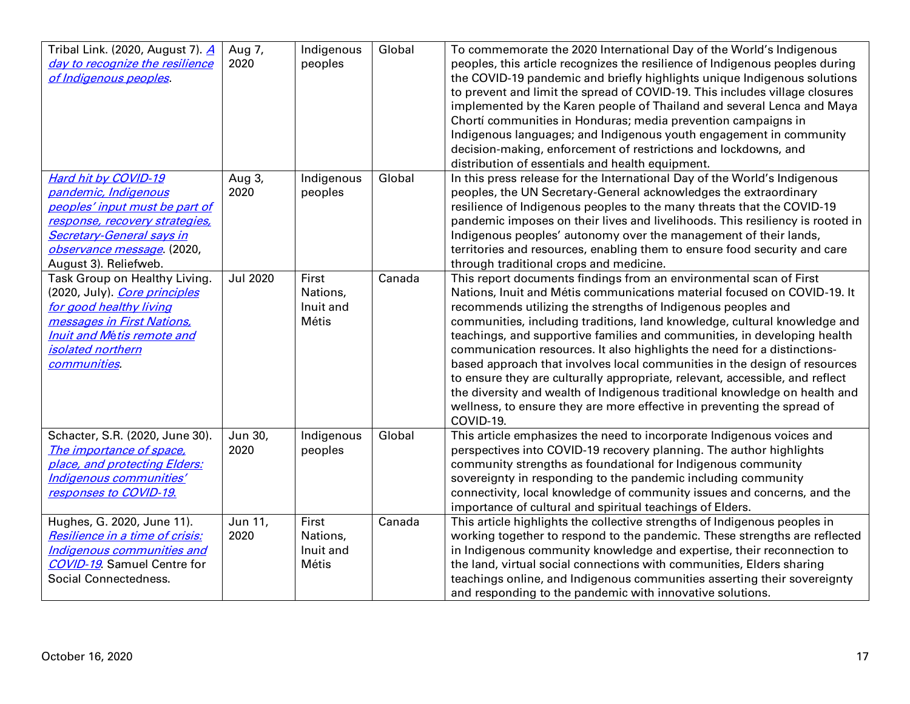| Tribal Link. (2020, August 7). 4                                | Aug 7,          | Indigenous | Global | To commemorate the 2020 International Day of the World's Indigenous                                                                                      |
|-----------------------------------------------------------------|-----------------|------------|--------|----------------------------------------------------------------------------------------------------------------------------------------------------------|
| day to recognize the resilience<br>of Indigenous peoples.       | 2020            | peoples    |        | peoples, this article recognizes the resilience of Indigenous peoples during<br>the COVID-19 pandemic and briefly highlights unique Indigenous solutions |
|                                                                 |                 |            |        | to prevent and limit the spread of COVID-19. This includes village closures                                                                              |
|                                                                 |                 |            |        | implemented by the Karen people of Thailand and several Lenca and Maya                                                                                   |
|                                                                 |                 |            |        | Chortí communities in Honduras; media prevention campaigns in                                                                                            |
|                                                                 |                 |            |        | Indigenous languages; and Indigenous youth engagement in community                                                                                       |
|                                                                 |                 |            |        | decision-making, enforcement of restrictions and lockdowns, and                                                                                          |
|                                                                 |                 |            |        | distribution of essentials and health equipment.                                                                                                         |
| Hard hit by COVID-19                                            | Aug 3,<br>2020  | Indigenous | Global | In this press release for the International Day of the World's Indigenous                                                                                |
| pandemic, Indigenous<br>peoples' input must be part of          |                 | peoples    |        | peoples, the UN Secretary-General acknowledges the extraordinary<br>resilience of Indigenous peoples to the many threats that the COVID-19               |
| response, recovery strategies,                                  |                 |            |        | pandemic imposes on their lives and livelihoods. This resiliency is rooted in                                                                            |
| <b>Secretary-General says in</b>                                |                 |            |        | Indigenous peoples' autonomy over the management of their lands,                                                                                         |
| observance message. (2020,                                      |                 |            |        | territories and resources, enabling them to ensure food security and care                                                                                |
| August 3). Reliefweb.                                           |                 |            |        | through traditional crops and medicine.                                                                                                                  |
| Task Group on Healthy Living.                                   | <b>Jul 2020</b> | First      | Canada | This report documents findings from an environmental scan of First                                                                                       |
| (2020, July). Core principles                                   |                 | Nations,   |        | Nations, Inuit and Métis communications material focused on COVID-19. It                                                                                 |
| for good healthy living                                         |                 | Inuit and  |        | recommends utilizing the strengths of Indigenous peoples and                                                                                             |
| messages in First Nations,<br><b>Inuit and Métis remote and</b> |                 | Métis      |        | communities, including traditions, land knowledge, cultural knowledge and<br>teachings, and supportive families and communities, in developing health    |
| <i>isolated northern</i>                                        |                 |            |        | communication resources. It also highlights the need for a distinctions-                                                                                 |
| communities.                                                    |                 |            |        | based approach that involves local communities in the design of resources                                                                                |
|                                                                 |                 |            |        | to ensure they are culturally appropriate, relevant, accessible, and reflect                                                                             |
|                                                                 |                 |            |        | the diversity and wealth of Indigenous traditional knowledge on health and                                                                               |
|                                                                 |                 |            |        | wellness, to ensure they are more effective in preventing the spread of                                                                                  |
|                                                                 |                 |            |        | COVID-19.                                                                                                                                                |
| Schacter, S.R. (2020, June 30).                                 | Jun 30,         | Indigenous | Global | This article emphasizes the need to incorporate Indigenous voices and                                                                                    |
| The importance of space,                                        | 2020            | peoples    |        | perspectives into COVID-19 recovery planning. The author highlights                                                                                      |
| place, and protecting Elders:                                   |                 |            |        | community strengths as foundational for Indigenous community                                                                                             |
| Indigenous communities'<br>responses to COVID-19.               |                 |            |        | sovereignty in responding to the pandemic including community<br>connectivity, local knowledge of community issues and concerns, and the                 |
|                                                                 |                 |            |        | importance of cultural and spiritual teachings of Elders.                                                                                                |
| Hughes, G. 2020, June 11).                                      | Jun 11,         | First      | Canada | This article highlights the collective strengths of Indigenous peoples in                                                                                |
| Resilience in a time of crisis:                                 | 2020            | Nations,   |        | working together to respond to the pandemic. These strengths are reflected                                                                               |
| Indigenous communities and                                      |                 | Inuit and  |        | in Indigenous community knowledge and expertise, their reconnection to                                                                                   |
| <b>COVID-19</b> Samuel Centre for                               |                 | Métis      |        | the land, virtual social connections with communities, Elders sharing                                                                                    |
| Social Connectedness.                                           |                 |            |        | teachings online, and Indigenous communities asserting their sovereignty                                                                                 |
|                                                                 |                 |            |        | and responding to the pandemic with innovative solutions.                                                                                                |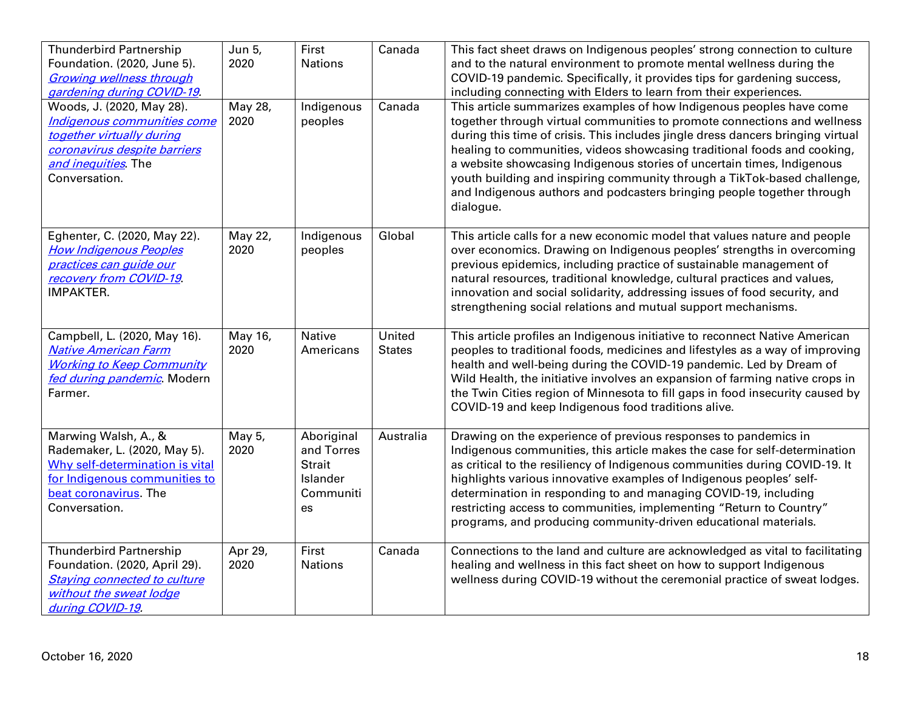| <b>Thunderbird Partnership</b><br>Foundation. (2020, June 5).<br><b>Growing wellness through</b><br>gardening during COVID-19.<br>Woods, J. (2020, May 28).<br>Indigenous communities come<br>together virtually during<br>coronavirus despite barriers<br>and inequities. The<br>Conversation. | Jun 5,<br>2020<br>May 28,<br>2020 | First<br><b>Nations</b><br>Indigenous<br>peoples                  | Canada<br>Canada        | This fact sheet draws on Indigenous peoples' strong connection to culture<br>and to the natural environment to promote mental wellness during the<br>COVID-19 pandemic. Specifically, it provides tips for gardening success,<br>including connecting with Elders to learn from their experiences.<br>This article summarizes examples of how Indigenous peoples have come<br>together through virtual communities to promote connections and wellness<br>during this time of crisis. This includes jingle dress dancers bringing virtual<br>healing to communities, videos showcasing traditional foods and cooking,<br>a website showcasing Indigenous stories of uncertain times, Indigenous<br>youth building and inspiring community through a TikTok-based challenge,<br>and Indigenous authors and podcasters bringing people together through<br>dialogue. |
|-------------------------------------------------------------------------------------------------------------------------------------------------------------------------------------------------------------------------------------------------------------------------------------------------|-----------------------------------|-------------------------------------------------------------------|-------------------------|--------------------------------------------------------------------------------------------------------------------------------------------------------------------------------------------------------------------------------------------------------------------------------------------------------------------------------------------------------------------------------------------------------------------------------------------------------------------------------------------------------------------------------------------------------------------------------------------------------------------------------------------------------------------------------------------------------------------------------------------------------------------------------------------------------------------------------------------------------------------|
| Eghenter, C. (2020, May 22).<br><b>How Indigenous Peoples</b><br>practices can guide our<br>recovery from COVID-19<br><b>IMPAKTER.</b>                                                                                                                                                          | May $22,$<br>2020                 | Indigenous<br>peoples                                             | Global                  | This article calls for a new economic model that values nature and people<br>over economics. Drawing on Indigenous peoples' strengths in overcoming<br>previous epidemics, including practice of sustainable management of<br>natural resources, traditional knowledge, cultural practices and values,<br>innovation and social solidarity, addressing issues of food security, and<br>strengthening social relations and mutual support mechanisms.                                                                                                                                                                                                                                                                                                                                                                                                               |
| Campbell, L. (2020, May 16).<br><b>Native American Farm</b><br><b>Working to Keep Community</b><br>fed during pandemic. Modern<br>Farmer.                                                                                                                                                       | May 16,<br>2020                   | Native<br>Americans                                               | United<br><b>States</b> | This article profiles an Indigenous initiative to reconnect Native American<br>peoples to traditional foods, medicines and lifestyles as a way of improving<br>health and well-being during the COVID-19 pandemic. Led by Dream of<br>Wild Health, the initiative involves an expansion of farming native crops in<br>the Twin Cities region of Minnesota to fill gaps in food insecurity caused by<br>COVID-19 and keep Indigenous food traditions alive.                                                                                                                                                                                                                                                                                                                                                                                                         |
| Marwing Walsh, A., &<br>Rademaker, L. (2020, May 5).<br>Why self-determination is vital<br>for Indigenous communities to<br>beat coronavirus. The<br>Conversation.                                                                                                                              | May 5,<br>2020                    | Aboriginal<br>and Torres<br>Strait<br>Islander<br>Communiti<br>es | Australia               | Drawing on the experience of previous responses to pandemics in<br>Indigenous communities, this article makes the case for self-determination<br>as critical to the resiliency of Indigenous communities during COVID-19. It<br>highlights various innovative examples of Indigenous peoples' self-<br>determination in responding to and managing COVID-19, including<br>restricting access to communities, implementing "Return to Country"<br>programs, and producing community-driven educational materials.                                                                                                                                                                                                                                                                                                                                                   |
| <b>Thunderbird Partnership</b><br>Foundation. (2020, April 29).<br><b>Staying connected to culture</b><br>without the sweat lodge<br>during COVID-19.                                                                                                                                           | Apr 29,<br>2020                   | First<br><b>Nations</b>                                           | Canada                  | Connections to the land and culture are acknowledged as vital to facilitating<br>healing and wellness in this fact sheet on how to support Indigenous<br>wellness during COVID-19 without the ceremonial practice of sweat lodges.                                                                                                                                                                                                                                                                                                                                                                                                                                                                                                                                                                                                                                 |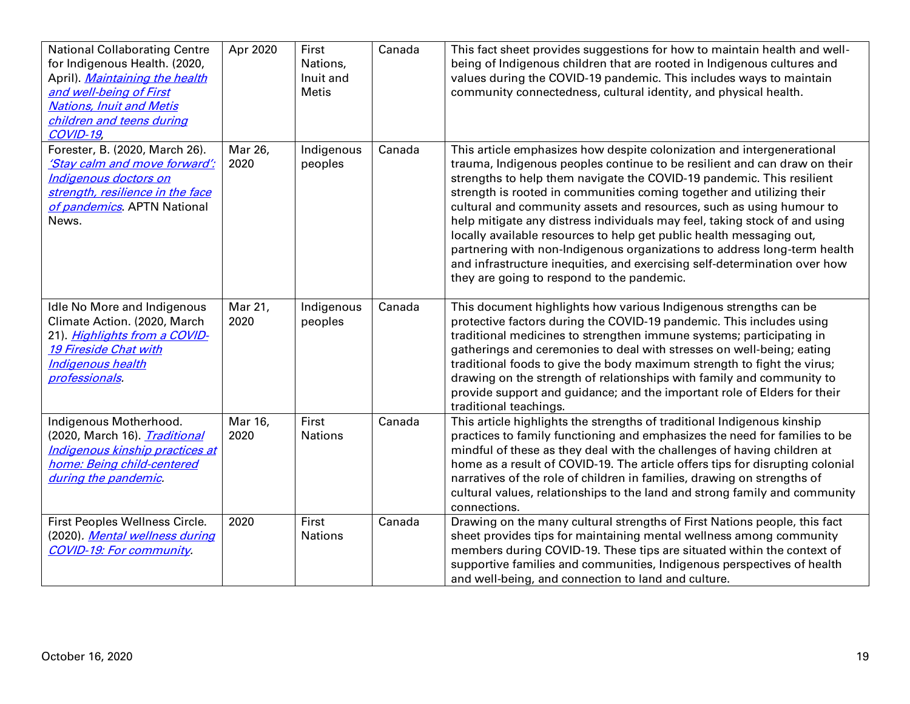| <b>National Collaborating Centre</b><br>for Indigenous Health. (2020,<br>April). Maintaining the health<br>and well-being of First<br><b>Nations, Inuit and Metis</b><br>children and teens during<br>COVID-19 | Apr 2020        | First<br>Nations,<br>Inuit and<br><b>Metis</b> | Canada | This fact sheet provides suggestions for how to maintain health and well-<br>being of Indigenous children that are rooted in Indigenous cultures and<br>values during the COVID-19 pandemic. This includes ways to maintain<br>community connectedness, cultural identity, and physical health.                                                                                                                                                                                                                                                                                                                                                                                                                                            |
|----------------------------------------------------------------------------------------------------------------------------------------------------------------------------------------------------------------|-----------------|------------------------------------------------|--------|--------------------------------------------------------------------------------------------------------------------------------------------------------------------------------------------------------------------------------------------------------------------------------------------------------------------------------------------------------------------------------------------------------------------------------------------------------------------------------------------------------------------------------------------------------------------------------------------------------------------------------------------------------------------------------------------------------------------------------------------|
| Forester, B. (2020, March 26).<br>'Stay calm and move forward':<br>Indigenous doctors on<br>strength, resilience in the face<br>of pandemics. APTN National<br>News.                                           | Mar 26,<br>2020 | Indigenous<br>peoples                          | Canada | This article emphasizes how despite colonization and intergenerational<br>trauma, Indigenous peoples continue to be resilient and can draw on their<br>strengths to help them navigate the COVID-19 pandemic. This resilient<br>strength is rooted in communities coming together and utilizing their<br>cultural and community assets and resources, such as using humour to<br>help mitigate any distress individuals may feel, taking stock of and using<br>locally available resources to help get public health messaging out,<br>partnering with non-Indigenous organizations to address long-term health<br>and infrastructure inequities, and exercising self-determination over how<br>they are going to respond to the pandemic. |
| Idle No More and Indigenous<br>Climate Action. (2020, March<br>21). Highlights from a COVID-<br><b>19 Fireside Chat with</b><br>Indigenous health<br>professionals.                                            | Mar 21,<br>2020 | Indigenous<br>peoples                          | Canada | This document highlights how various Indigenous strengths can be<br>protective factors during the COVID-19 pandemic. This includes using<br>traditional medicines to strengthen immune systems; participating in<br>gatherings and ceremonies to deal with stresses on well-being; eating<br>traditional foods to give the body maximum strength to fight the virus;<br>drawing on the strength of relationships with family and community to<br>provide support and guidance; and the important role of Elders for their<br>traditional teachings.                                                                                                                                                                                        |
| Indigenous Motherhood.<br>(2020, March 16). <i>Traditional</i><br>Indigenous kinship practices at<br>home: Being child-centered<br>during the pandemic.                                                        | Mar 16,<br>2020 | First<br><b>Nations</b>                        | Canada | This article highlights the strengths of traditional Indigenous kinship<br>practices to family functioning and emphasizes the need for families to be<br>mindful of these as they deal with the challenges of having children at<br>home as a result of COVID-19. The article offers tips for disrupting colonial<br>narratives of the role of children in families, drawing on strengths of<br>cultural values, relationships to the land and strong family and community<br>connections.                                                                                                                                                                                                                                                 |
| First Peoples Wellness Circle.<br>(2020). <i>Mental wellness during</i><br><b>COVID-19: For community.</b>                                                                                                     | 2020            | First<br><b>Nations</b>                        | Canada | Drawing on the many cultural strengths of First Nations people, this fact<br>sheet provides tips for maintaining mental wellness among community<br>members during COVID-19. These tips are situated within the context of<br>supportive families and communities, Indigenous perspectives of health<br>and well-being, and connection to land and culture.                                                                                                                                                                                                                                                                                                                                                                                |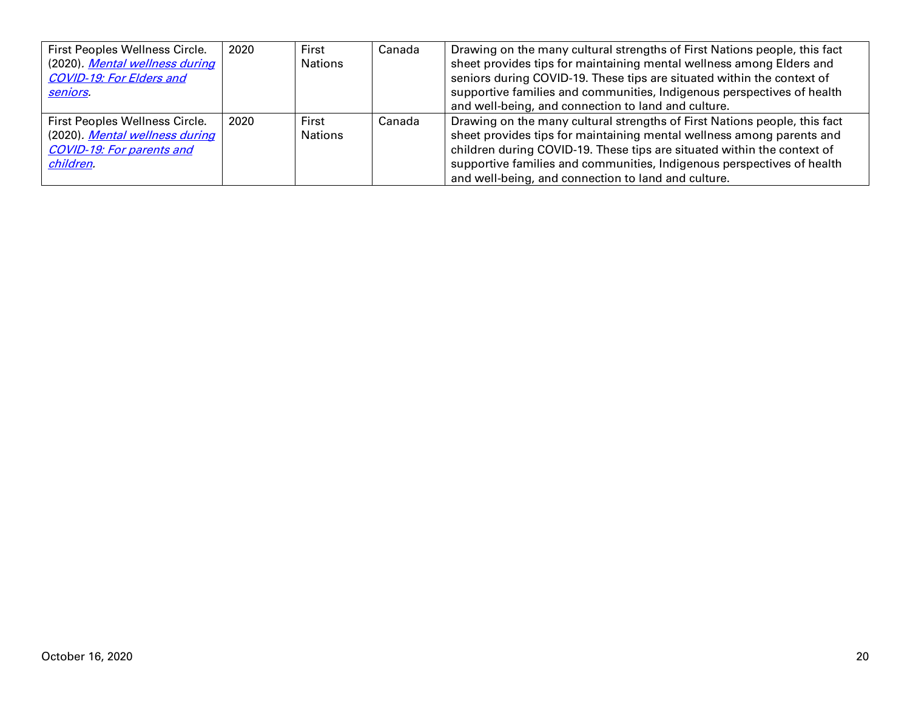| First Peoples Wellness Circle.<br>(2020). Mental wellness during<br><b>COVID-19: For Elders and</b><br>seniors.   | 2020 | First<br>Nations | Canada | Drawing on the many cultural strengths of First Nations people, this fact<br>sheet provides tips for maintaining mental wellness among Elders and<br>seniors during COVID-19. These tips are situated within the context of<br>supportive families and communities, Indigenous perspectives of health<br>and well-being, and connection to land and culture.   |
|-------------------------------------------------------------------------------------------------------------------|------|------------------|--------|----------------------------------------------------------------------------------------------------------------------------------------------------------------------------------------------------------------------------------------------------------------------------------------------------------------------------------------------------------------|
| First Peoples Wellness Circle.<br>(2020). Mental wellness during<br><b>COVID-19: For parents and</b><br>children. | 2020 | First<br>Nations | Canada | Drawing on the many cultural strengths of First Nations people, this fact<br>sheet provides tips for maintaining mental wellness among parents and<br>children during COVID-19. These tips are situated within the context of<br>supportive families and communities, Indigenous perspectives of health<br>and well-being, and connection to land and culture. |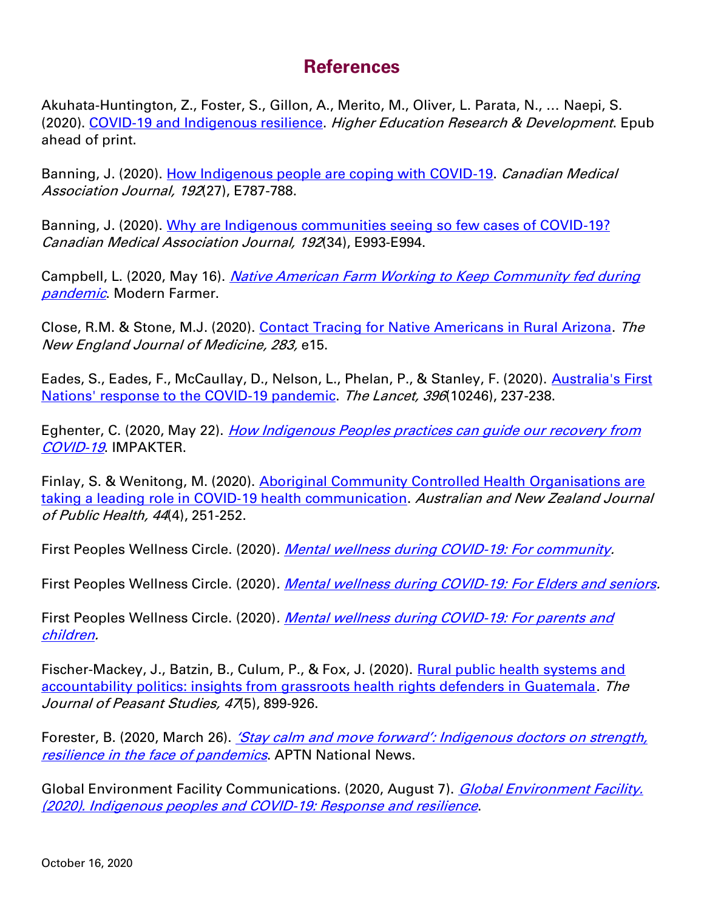### **References**

Akuhata-Huntington, Z., Foster, S., Gillon, A., Merito, M., Oliver, L. Parata, N., … Naepi, S. (2020). [COVID-19 and Indigenous resilience.](https://www.tandfonline.com/doi/full/10.1080/07294360.2020.1823327) Higher Education Research & Development. Epub ahead of print.

Banning, J. (2020). [How Indigenous people are coping with COVID-19.](https://www.cmaj.ca/content/192/27/E787) Canadian Medical Association Journal, 192(27), E787-788.

Banning, J. (2020). [Why are Indigenous communities seeing so few cases of COVID-19?](https://www.cmaj.ca/content/192/34/E993) Canadian Medical Association Journal, 192(34), E993-E994.

Campbell, L. (2020, May 16). Native American Farm Working to Keep Community fed during [pandemic](https://modernfarmer.com/2020/05/native-american-farm-does-its-part-through-traditional-food/). Modern Farmer.

Close, R.M. & Stone, M.J. (2020). [Contact Tracing for Native Americans in Rural Arizona.](https://www.nejm.org/doi/10.1056/NEJMc2023540) The New England Journal of Medicine, 283, e15.

Eades, S., Eades, F., McCaullay, D., Nelson, L., Phelan, P., & Stanley, F. (2020). Australia's First [Nations' response to the COVID-19 pandemic.](https://www.thelancet.com/journals/lancet/article/PIIS0140-6736(20)31545-2/fulltext) The Lancet, 396(10246), 237-238.

Eghenter, C. (2020, May 22). [How Indigenous Peoples practices can guide our recovery from](https://impakter.com/how-indigenous-peoples-practices-can-guide-our-recovery-from-covid-19/)  [COVID-19](https://impakter.com/how-indigenous-peoples-practices-can-guide-our-recovery-from-covid-19/). IMPAKTER.

Finlay, S. & Wenitong, M. (2020). [Aboriginal Community Controlled Health Organisations are](https://onlinelibrary.wiley.com/doi/full/10.1111/1753-6405.13010)  [taking a leading role in COVID](https://onlinelibrary.wiley.com/doi/full/10.1111/1753-6405.13010)-19 health communication. Australian and New Zealand Journal of Public Health, 44(4), 251-252.

First Peoples Wellness Circle. (2020). [Mental wellness during COVID-19: For community.](https://11d19480-8ac9-4dee-a0f8-02f67b6947c6.filesusr.com/ugd/0265ae_98a7d8cd4f294e438505f747c587034b.pdf)

First Peoples Wellness Circle. (2020). [Mental wellness during COVID-19: For Elders and seniors.](https://d5d8ad59-8391-4802-9f0a-f5f5d600d7e9.filesusr.com/ugd/38252a_441890e4a0184d63b549fcf0ea5fd6a2.pdf?index=true)

First Peoples Wellness Circle. (2020). Mental wellness during COVID-19: For parents and [children.](https://11d19480-8ac9-4dee-a0f8-02f67b6947c6.filesusr.com/ugd/0265ae_fba724eaa91747d8b9e33b3678276075.pdf)

Fischer-Mackey, J., Batzin, B., Culum, P., & Fox, J. (2020). Rural public health systems and [accountability politics: insights from grassroots health rights defenders in Guatemala.](https://search.bvsalud.org/global-literature-on-novel-coronavirus-2019-ncov/resource/en/covidwho-635697) The Journal of Peasant Studies, 47(5), 899-926.

Forester, B. (2020, March 26). *'Stay calm and move forward': Indigenous doctors on strength*, [resilience in the face](https://www.aptnnews.ca/national-news/stay-calm-and-move-forward-indigenous-doctors-on-strength-resilience-in-the-face-of-pandemics/) of pandemics. APTN National News.

Global Environment Facility Communications. (2020, August 7). Global Environment Facility. [\(2020\). Indigenous peoples and COVID-19: Response and resilience](https://www.thegef.org/blog/indigenous-peoples-and-covid-19-response-and-resilience).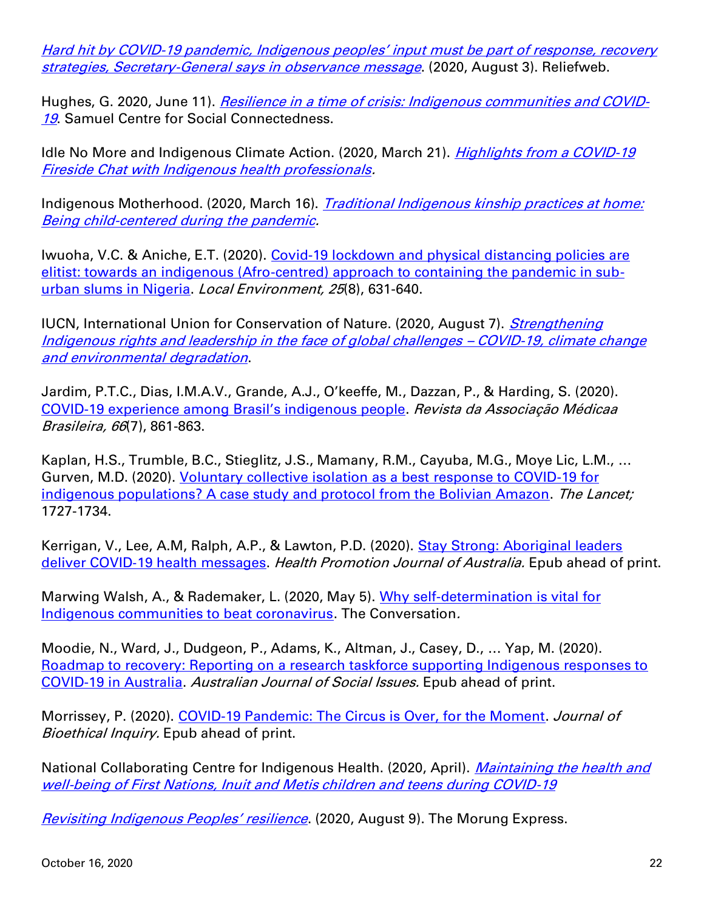Hard hit by COVID-19 pandemic, Indigenous peoples' input must be part of response, recovery [strategies, Secretary-General says in observance message](https://reliefweb.int/report/world/hard-hit-covid-19-pandemic-indigenous-peoples-input-must-be-part-response-recovery). (2020, August 3). Reliefweb.

Hughes, G. 2020, June 11). [Resilience in a time of crisis: Indigenous communities and COVID-](https://www.socialconnectedness.org/resilience-in-a-time-of-crisis-indigenous-communities-and-covid-19/)[19](https://www.socialconnectedness.org/resilience-in-a-time-of-crisis-indigenous-communities-and-covid-19/). Samuel Centre for Social Connectedness.

Idle No More and Indigenous Climate Action. (2020, March 21). *Highlights from a COVID-19* [Fireside Chat with Indigenous health professionals.](https://yellowheadinstitute.org/resources/highlights-from-a-covid-19-fireside-chat-with-indigenous-health-professionals/)

Indigenous Motherhood. (2020, March 16). *Traditional Indigenous kinship practices at home:* [Being child-centered during the pandemic.](https://indigenousmotherhood.wordpress.com/2020/03/16/traditional-indigenous-kinship-practices-at-home-being-child-centered-during-the-pandemic/)

Iwuoha, V.C. & Aniche, E.T. (2020). [Covid-19 lockdown and physical distancing policies are](https://www.tandfonline.com/doi/abs/10.1080/13549839.2020.1801618?journalCode=cloe20)  [elitist: towards an indigenous \(Afro-centred\) approach to containing the pandemic in sub](https://www.tandfonline.com/doi/abs/10.1080/13549839.2020.1801618?journalCode=cloe20)[urban slums in Nigeria.](https://www.tandfonline.com/doi/abs/10.1080/13549839.2020.1801618?journalCode=cloe20) Local Environment, 25(8), 631-640.

IUCN, International Union for Conservation of Nature. (2020, August 7). *Strengthening* [Indigenous rights and leadership in the face of global challenges](https://www.iucn.org/news/governance-and-rights/202008/strengthening-indigenous-rights-and-leadership-face-global-challenges-covid-19-climate-change-and-environmental-degradation) – COVID-19, climate change [and environmental degradation](https://www.iucn.org/news/governance-and-rights/202008/strengthening-indigenous-rights-and-leadership-face-global-challenges-covid-19-climate-change-and-environmental-degradation).

Jardim, P.T.C., Dias, I.M.A.V., Grande, A.J., O'keeffe, M., Dazzan, P., & Harding, S. (2020). COVID-[19 experience among Brasil's indigenous people](https://www.scielo.br/scielo.php?script=sci_arttext&pid=S0104-42302020000700861&tlng=en). Revista da Associação Médicaa Brasileira, 66(7), 861-863.

Kaplan, H.S., Trumble, B.C., Stieglitz, J.S., Mamany, R.M., Cayuba, M.G., Moye Lic, L.M., … Gurven, M.D. (2020). [Voluntary collective isolation as a best](https://www.sciencedirect.com/science/article/pii/S0140673620311041?via%3Dihub#bib14) response to COVID-19 for [indigenous populations? A case study and protocol from the Bolivian Amazon.](https://www.sciencedirect.com/science/article/pii/S0140673620311041?via%3Dihub#bib14) The Lancet; 1727-1734.

Kerrigan, V., Lee, A.M, Ralph, A.P., & Lawton, P.D. (2020). Stay Strong: Aboriginal leaders deliver COVID-[19 health messages.](https://onlinelibrary.wiley.com/doi/full/10.1002/hpja.364) Health Promotion Journal of Australia. Epub ahead of print.

Marwing Walsh, A., & Rademaker, L. (2020, May 5). Why self-determination is vital for [Indigenous communities to beat coronavirus.](https://theconversation.com/why-self-determination-is-vital-for-indigenous-communities-to-beat-coronavirus-137611) The Conversation.

Moodie, N., Ward, J., Dudgeon, P., Adams, K., Altman, J., Casey, D., … Yap, M. (2020). [Roadmap to recovery: Reporting on a research taskforce supporting Indigenous responses to](https://search.bvsalud.org/global-literature-on-novel-coronavirus-2019-ncov/resource/en/covidwho-792947)  [COVID-19 in Australia.](https://search.bvsalud.org/global-literature-on-novel-coronavirus-2019-ncov/resource/en/covidwho-792947) Australian Journal of Social Issues. Epub ahead of print.

Morrissey, P. (2020). [COVID-19 Pandemic: The Circus is Over, for the Moment.](https://link.springer.com/article/10.1007/s11673-020-10012-z) Journal of Bioethical Inquiry. Epub ahead of print.

National Collaborating Centre for Indigenous Health. (2020, April). *Maintaining the health and* [well-being of First Nations, Inuit and Metis children and teens during COVID-19](https://www.nccih.ca/docs/diseases/FS-COVID19-Children-Teens-EN.pdf)

[Revisiting Indigenous Peoples' resilience](https://morungexpress.com/revisiting-indigenous-peoples-resilience). (2020, August 9). The Morung Express.